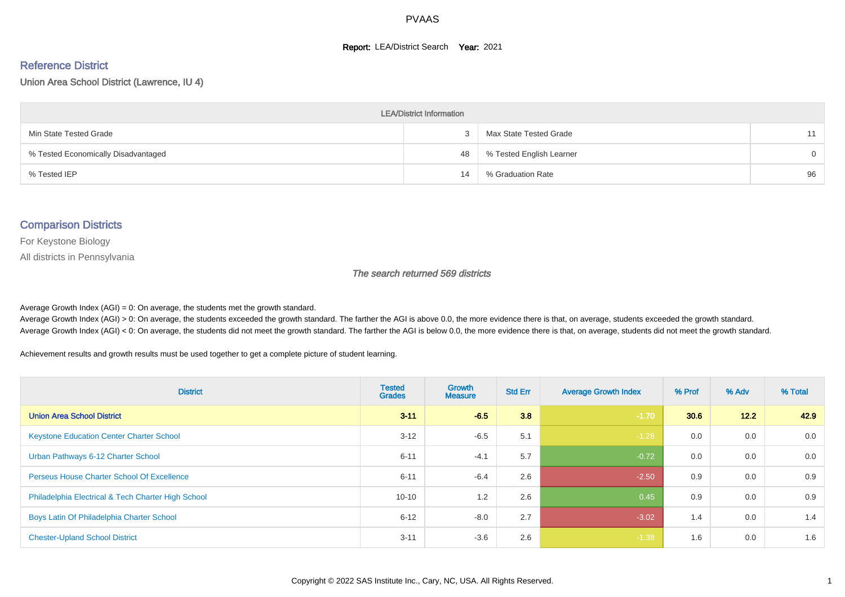#### **Report: LEA/District Search Year: 2021**

# Reference District

Union Area School District (Lawrence, IU 4)

| <b>LEA/District Information</b>     |    |                          |          |  |  |  |  |  |  |  |
|-------------------------------------|----|--------------------------|----------|--|--|--|--|--|--|--|
| Min State Tested Grade              |    | Max State Tested Grade   | 11       |  |  |  |  |  |  |  |
| % Tested Economically Disadvantaged | 48 | % Tested English Learner | $\Omega$ |  |  |  |  |  |  |  |
| % Tested IEP                        | 14 | % Graduation Rate        | 96       |  |  |  |  |  |  |  |

#### Comparison Districts

For Keystone Biology

All districts in Pennsylvania

The search returned 569 districts

Average Growth Index  $(AGI) = 0$ : On average, the students met the growth standard.

Average Growth Index (AGI) > 0: On average, the students exceeded the growth standard. The farther the AGI is above 0.0, the more evidence there is that, on average, students exceeded the growth standard. Average Growth Index (AGI) < 0: On average, the students did not meet the growth standard. The farther the AGI is below 0.0, the more evidence there is that, on average, students did not meet the growth standard.

Achievement results and growth results must be used together to get a complete picture of student learning.

| <b>District</b>                                    | <b>Tested</b><br><b>Grades</b> | <b>Growth</b><br><b>Measure</b> | <b>Std Err</b> | <b>Average Growth Index</b> | % Prof | % Adv | % Total |
|----------------------------------------------------|--------------------------------|---------------------------------|----------------|-----------------------------|--------|-------|---------|
| <b>Union Area School District</b>                  | $3 - 11$                       | $-6.5$                          | 3.8            | $-1.70$                     | 30.6   | 12.2  | 42.9    |
| <b>Keystone Education Center Charter School</b>    | $3 - 12$                       | $-6.5$                          | 5.1            | $-1.28$                     | 0.0    | 0.0   | 0.0     |
| Urban Pathways 6-12 Charter School                 | $6 - 11$                       | $-4.1$                          | 5.7            | $-0.72$                     | 0.0    | 0.0   | 0.0     |
| <b>Perseus House Charter School Of Excellence</b>  | $6 - 11$                       | $-6.4$                          | 2.6            | $-2.50$                     | 0.9    | 0.0   | 0.9     |
| Philadelphia Electrical & Tech Charter High School | $10 - 10$                      | 1.2                             | 2.6            | 0.45                        | 0.9    | 0.0   | 0.9     |
| Boys Latin Of Philadelphia Charter School          | $6 - 12$                       | $-8.0$                          | 2.7            | $-3.02$                     | 1.4    | 0.0   | 1.4     |
| <b>Chester-Upland School District</b>              | $3 - 11$                       | $-3.6$                          | 2.6            | $-1.38$                     | 1.6    | 0.0   | 1.6     |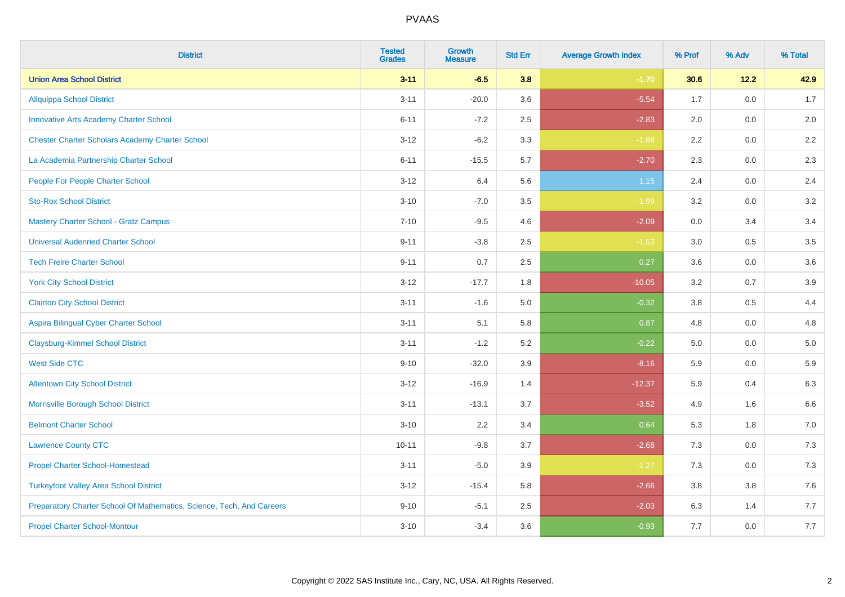| <b>District</b>                                                       | <b>Tested</b><br><b>Grades</b> | <b>Growth</b><br><b>Measure</b> | <b>Std Err</b> | <b>Average Growth Index</b> | % Prof | % Adv   | % Total |
|-----------------------------------------------------------------------|--------------------------------|---------------------------------|----------------|-----------------------------|--------|---------|---------|
| <b>Union Area School District</b>                                     | $3 - 11$                       | $-6.5$                          | 3.8            | $-1.70$                     | 30.6   | 12.2    | 42.9    |
| <b>Aliquippa School District</b>                                      | $3 - 11$                       | $-20.0$                         | 3.6            | $-5.54$                     | 1.7    | 0.0     | 1.7     |
| <b>Innovative Arts Academy Charter School</b>                         | $6 - 11$                       | $-7.2$                          | 2.5            | $-2.83$                     | 2.0    | 0.0     | 2.0     |
| <b>Chester Charter Scholars Academy Charter School</b>                | $3 - 12$                       | $-6.2$                          | 3.3            | $-1.88$                     | 2.2    | $0.0\,$ | $2.2\,$ |
| La Academia Partnership Charter School                                | $6 - 11$                       | $-15.5$                         | 5.7            | $-2.70$                     | 2.3    | 0.0     | 2.3     |
| People For People Charter School                                      | $3 - 12$                       | 6.4                             | 5.6            | $1.15$                      | 2.4    | 0.0     | 2.4     |
| <b>Sto-Rox School District</b>                                        | $3 - 10$                       | $-7.0$                          | 3.5            | $-1.99$                     | 3.2    | $0.0\,$ | 3.2     |
| <b>Mastery Charter School - Gratz Campus</b>                          | $7 - 10$                       | $-9.5$                          | 4.6            | $-2.09$                     | 0.0    | 3.4     | 3.4     |
| <b>Universal Audenried Charter School</b>                             | $9 - 11$                       | $-3.8$                          | 2.5            | $-1.53$                     | 3.0    | 0.5     | 3.5     |
| <b>Tech Freire Charter School</b>                                     | $9 - 11$                       | 0.7                             | $2.5\,$        | 0.27                        | 3.6    | 0.0     | 3.6     |
| <b>York City School District</b>                                      | $3 - 12$                       | $-17.7$                         | 1.8            | $-10.05$                    | 3.2    | 0.7     | 3.9     |
| <b>Clairton City School District</b>                                  | $3 - 11$                       | $-1.6$                          | 5.0            | $-0.32$                     | 3.8    | 0.5     | 4.4     |
| Aspira Bilingual Cyber Charter School                                 | $3 - 11$                       | 5.1                             | 5.8            | 0.87                        | 4.8    | 0.0     | 4.8     |
| <b>Claysburg-Kimmel School District</b>                               | $3 - 11$                       | $-1.2$                          | 5.2            | $-0.22$                     | 5.0    | 0.0     | $5.0$   |
| <b>West Side CTC</b>                                                  | $9 - 10$                       | $-32.0$                         | 3.9            | $-8.16$                     | 5.9    | 0.0     | 5.9     |
| <b>Allentown City School District</b>                                 | $3 - 12$                       | $-16.9$                         | 1.4            | $-12.37$                    | 5.9    | 0.4     | 6.3     |
| Morrisville Borough School District                                   | $3 - 11$                       | $-13.1$                         | 3.7            | $-3.52$                     | 4.9    | 1.6     | 6.6     |
| <b>Belmont Charter School</b>                                         | $3 - 10$                       | 2.2                             | 3.4            | 0.64                        | 5.3    | 1.8     | 7.0     |
| <b>Lawrence County CTC</b>                                            | $10 - 11$                      | $-9.8$                          | 3.7            | $-2.68$                     | 7.3    | 0.0     | 7.3     |
| <b>Propel Charter School-Homestead</b>                                | $3 - 11$                       | $-5.0$                          | 3.9            | $-1.27$                     | 7.3    | 0.0     | $7.3$   |
| <b>Turkeyfoot Valley Area School District</b>                         | $3 - 12$                       | $-15.4$                         | 5.8            | $-2.66$                     | 3.8    | 3.8     | $7.6$   |
| Preparatory Charter School Of Mathematics, Science, Tech, And Careers | $9 - 10$                       | $-5.1$                          | 2.5            | $-2.03$                     | 6.3    | 1.4     | 7.7     |
| <b>Propel Charter School-Montour</b>                                  | $3 - 10$                       | $-3.4$                          | 3.6            | $-0.93$                     | 7.7    | 0.0     | 7.7     |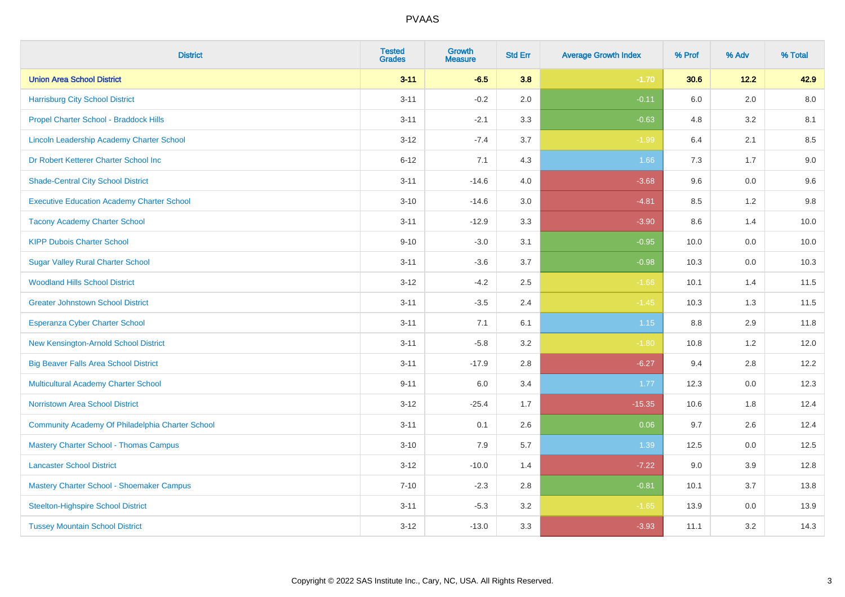| <b>District</b>                                   | <b>Tested</b><br><b>Grades</b> | <b>Growth</b><br><b>Measure</b> | <b>Std Err</b> | <b>Average Growth Index</b> | % Prof | % Adv   | % Total |
|---------------------------------------------------|--------------------------------|---------------------------------|----------------|-----------------------------|--------|---------|---------|
| <b>Union Area School District</b>                 | $3 - 11$                       | $-6.5$                          | 3.8            | $-1.70$                     | 30.6   | 12.2    | 42.9    |
| <b>Harrisburg City School District</b>            | $3 - 11$                       | $-0.2$                          | 2.0            | $-0.11$                     | 6.0    | 2.0     | 8.0     |
| Propel Charter School - Braddock Hills            | $3 - 11$                       | $-2.1$                          | 3.3            | $-0.63$                     | 4.8    | 3.2     | 8.1     |
| Lincoln Leadership Academy Charter School         | $3 - 12$                       | $-7.4$                          | 3.7            | $-1.99$                     | 6.4    | 2.1     | 8.5     |
| Dr Robert Ketterer Charter School Inc             | $6 - 12$                       | 7.1                             | 4.3            | 1.66                        | 7.3    | 1.7     | 9.0     |
| <b>Shade-Central City School District</b>         | $3 - 11$                       | $-14.6$                         | 4.0            | $-3.68$                     | 9.6    | 0.0     | 9.6     |
| <b>Executive Education Academy Charter School</b> | $3 - 10$                       | $-14.6$                         | 3.0            | $-4.81$                     | 8.5    | 1.2     | 9.8     |
| <b>Tacony Academy Charter School</b>              | $3 - 11$                       | $-12.9$                         | 3.3            | $-3.90$                     | 8.6    | 1.4     | 10.0    |
| <b>KIPP Dubois Charter School</b>                 | $9 - 10$                       | $-3.0$                          | 3.1            | $-0.95$                     | 10.0   | 0.0     | 10.0    |
| <b>Sugar Valley Rural Charter School</b>          | $3 - 11$                       | $-3.6$                          | 3.7            | $-0.98$                     | 10.3   | 0.0     | 10.3    |
| <b>Woodland Hills School District</b>             | $3 - 12$                       | $-4.2$                          | 2.5            | $-1.66$                     | 10.1   | 1.4     | 11.5    |
| <b>Greater Johnstown School District</b>          | $3 - 11$                       | $-3.5$                          | 2.4            | $-1.45$                     | 10.3   | 1.3     | 11.5    |
| Esperanza Cyber Charter School                    | $3 - 11$                       | 7.1                             | 6.1            | $1.15$                      | 8.8    | 2.9     | 11.8    |
| New Kensington-Arnold School District             | $3 - 11$                       | $-5.8$                          | 3.2            | $-1.80$                     | 10.8   | 1.2     | 12.0    |
| <b>Big Beaver Falls Area School District</b>      | $3 - 11$                       | $-17.9$                         | 2.8            | $-6.27$                     | 9.4    | 2.8     | 12.2    |
| <b>Multicultural Academy Charter School</b>       | $9 - 11$                       | 6.0                             | 3.4            | 1.77                        | 12.3   | $0.0\,$ | 12.3    |
| Norristown Area School District                   | $3 - 12$                       | $-25.4$                         | 1.7            | $-15.35$                    | 10.6   | 1.8     | 12.4    |
| Community Academy Of Philadelphia Charter School  | $3 - 11$                       | 0.1                             | 2.6            | 0.06                        | 9.7    | 2.6     | 12.4    |
| <b>Mastery Charter School - Thomas Campus</b>     | $3 - 10$                       | 7.9                             | 5.7            | 1.39                        | 12.5   | 0.0     | 12.5    |
| <b>Lancaster School District</b>                  | $3 - 12$                       | $-10.0$                         | 1.4            | $-7.22$                     | 9.0    | 3.9     | 12.8    |
| Mastery Charter School - Shoemaker Campus         | $7 - 10$                       | $-2.3$                          | 2.8            | $-0.81$                     | 10.1   | 3.7     | 13.8    |
| <b>Steelton-Highspire School District</b>         | $3 - 11$                       | $-5.3$                          | 3.2            | $-1.65$                     | 13.9   | $0.0\,$ | 13.9    |
| <b>Tussey Mountain School District</b>            | $3 - 12$                       | $-13.0$                         | 3.3            | $-3.93$                     | 11.1   | 3.2     | 14.3    |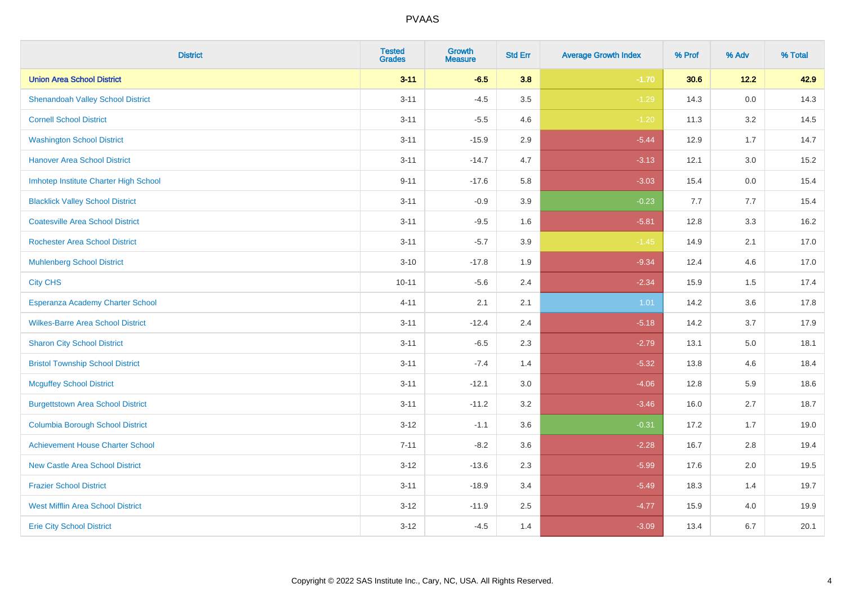| <b>District</b>                          | <b>Tested</b><br><b>Grades</b> | <b>Growth</b><br><b>Measure</b> | <b>Std Err</b> | <b>Average Growth Index</b> | % Prof | % Adv   | % Total |
|------------------------------------------|--------------------------------|---------------------------------|----------------|-----------------------------|--------|---------|---------|
| <b>Union Area School District</b>        | $3 - 11$                       | $-6.5$                          | 3.8            | $-1.70$                     | 30.6   | 12.2    | 42.9    |
| <b>Shenandoah Valley School District</b> | $3 - 11$                       | $-4.5$                          | 3.5            | $-1.29$                     | 14.3   | $0.0\,$ | 14.3    |
| <b>Cornell School District</b>           | $3 - 11$                       | $-5.5$                          | 4.6            | $-1.20$                     | 11.3   | 3.2     | 14.5    |
| <b>Washington School District</b>        | $3 - 11$                       | $-15.9$                         | 2.9            | $-5.44$                     | 12.9   | 1.7     | 14.7    |
| <b>Hanover Area School District</b>      | $3 - 11$                       | $-14.7$                         | 4.7            | $-3.13$                     | 12.1   | 3.0     | 15.2    |
| Imhotep Institute Charter High School    | $9 - 11$                       | $-17.6$                         | 5.8            | $-3.03$                     | 15.4   | 0.0     | 15.4    |
| <b>Blacklick Valley School District</b>  | $3 - 11$                       | $-0.9$                          | 3.9            | $-0.23$                     | 7.7    | 7.7     | 15.4    |
| <b>Coatesville Area School District</b>  | $3 - 11$                       | $-9.5$                          | 1.6            | $-5.81$                     | 12.8   | 3.3     | 16.2    |
| <b>Rochester Area School District</b>    | $3 - 11$                       | $-5.7$                          | 3.9            | $-1.45$                     | 14.9   | 2.1     | 17.0    |
| <b>Muhlenberg School District</b>        | $3 - 10$                       | $-17.8$                         | 1.9            | $-9.34$                     | 12.4   | 4.6     | 17.0    |
| <b>City CHS</b>                          | $10 - 11$                      | $-5.6$                          | 2.4            | $-2.34$                     | 15.9   | 1.5     | 17.4    |
| Esperanza Academy Charter School         | $4 - 11$                       | 2.1                             | 2.1            | 1.01                        | 14.2   | 3.6     | 17.8    |
| <b>Wilkes-Barre Area School District</b> | $3 - 11$                       | $-12.4$                         | 2.4            | $-5.18$                     | 14.2   | 3.7     | 17.9    |
| <b>Sharon City School District</b>       | $3 - 11$                       | $-6.5$                          | 2.3            | $-2.79$                     | 13.1   | $5.0\,$ | 18.1    |
| <b>Bristol Township School District</b>  | $3 - 11$                       | $-7.4$                          | 1.4            | $-5.32$                     | 13.8   | 4.6     | 18.4    |
| <b>Mcguffey School District</b>          | $3 - 11$                       | $-12.1$                         | 3.0            | $-4.06$                     | 12.8   | 5.9     | 18.6    |
| <b>Burgettstown Area School District</b> | $3 - 11$                       | $-11.2$                         | 3.2            | $-3.46$                     | 16.0   | 2.7     | 18.7    |
| <b>Columbia Borough School District</b>  | $3 - 12$                       | $-1.1$                          | 3.6            | $-0.31$                     | 17.2   | 1.7     | 19.0    |
| <b>Achievement House Charter School</b>  | $7 - 11$                       | $-8.2$                          | 3.6            | $-2.28$                     | 16.7   | 2.8     | 19.4    |
| <b>New Castle Area School District</b>   | $3 - 12$                       | $-13.6$                         | 2.3            | $-5.99$                     | 17.6   | 2.0     | 19.5    |
| <b>Frazier School District</b>           | $3 - 11$                       | $-18.9$                         | 3.4            | $-5.49$                     | 18.3   | 1.4     | 19.7    |
| <b>West Mifflin Area School District</b> | $3 - 12$                       | $-11.9$                         | 2.5            | $-4.77$                     | 15.9   | 4.0     | 19.9    |
| <b>Erie City School District</b>         | $3 - 12$                       | $-4.5$                          | 1.4            | $-3.09$                     | 13.4   | 6.7     | 20.1    |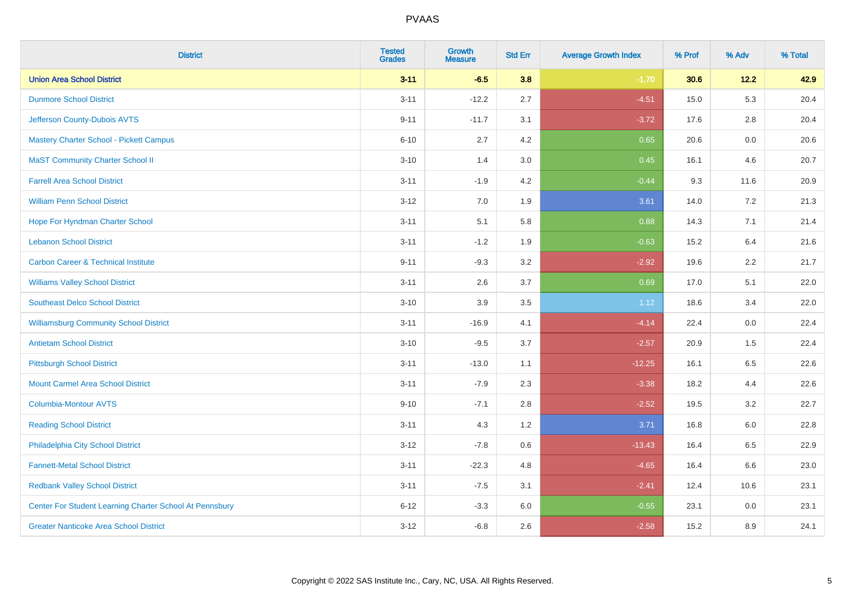| <b>District</b>                                         | <b>Tested</b><br><b>Grades</b> | <b>Growth</b><br><b>Measure</b> | <b>Std Err</b> | <b>Average Growth Index</b> | % Prof | % Adv   | % Total |
|---------------------------------------------------------|--------------------------------|---------------------------------|----------------|-----------------------------|--------|---------|---------|
| <b>Union Area School District</b>                       | $3 - 11$                       | $-6.5$                          | 3.8            | $-1.70$                     | 30.6   | 12.2    | 42.9    |
| <b>Dunmore School District</b>                          | $3 - 11$                       | $-12.2$                         | 2.7            | $-4.51$                     | 15.0   | 5.3     | 20.4    |
| Jefferson County-Dubois AVTS                            | $9 - 11$                       | $-11.7$                         | 3.1            | $-3.72$                     | 17.6   | 2.8     | 20.4    |
| <b>Mastery Charter School - Pickett Campus</b>          | $6 - 10$                       | 2.7                             | 4.2            | 0.65                        | 20.6   | $0.0\,$ | 20.6    |
| <b>MaST Community Charter School II</b>                 | $3 - 10$                       | 1.4                             | 3.0            | 0.45                        | 16.1   | 4.6     | 20.7    |
| <b>Farrell Area School District</b>                     | $3 - 11$                       | $-1.9$                          | 4.2            | $-0.44$                     | 9.3    | 11.6    | 20.9    |
| <b>William Penn School District</b>                     | $3 - 12$                       | 7.0                             | 1.9            | 3.61                        | 14.0   | 7.2     | 21.3    |
| Hope For Hyndman Charter School                         | $3 - 11$                       | 5.1                             | 5.8            | 0.88                        | 14.3   | 7.1     | 21.4    |
| <b>Lebanon School District</b>                          | $3 - 11$                       | $-1.2$                          | 1.9            | $-0.63$                     | 15.2   | 6.4     | 21.6    |
| <b>Carbon Career &amp; Technical Institute</b>          | $9 - 11$                       | $-9.3$                          | 3.2            | $-2.92$                     | 19.6   | 2.2     | 21.7    |
| <b>Williams Valley School District</b>                  | $3 - 11$                       | 2.6                             | 3.7            | 0.69                        | 17.0   | 5.1     | 22.0    |
| <b>Southeast Delco School District</b>                  | $3 - 10$                       | 3.9                             | 3.5            | 1.12                        | 18.6   | 3.4     | 22.0    |
| <b>Williamsburg Community School District</b>           | $3 - 11$                       | $-16.9$                         | 4.1            | $-4.14$                     | 22.4   | $0.0\,$ | 22.4    |
| <b>Antietam School District</b>                         | $3 - 10$                       | $-9.5$                          | 3.7            | $-2.57$                     | 20.9   | 1.5     | 22.4    |
| <b>Pittsburgh School District</b>                       | $3 - 11$                       | $-13.0$                         | 1.1            | $-12.25$                    | 16.1   | 6.5     | 22.6    |
| <b>Mount Carmel Area School District</b>                | $3 - 11$                       | $-7.9$                          | 2.3            | $-3.38$                     | 18.2   | 4.4     | 22.6    |
| <b>Columbia-Montour AVTS</b>                            | $9 - 10$                       | $-7.1$                          | 2.8            | $-2.52$                     | 19.5   | 3.2     | 22.7    |
| <b>Reading School District</b>                          | $3 - 11$                       | 4.3                             | 1.2            | 3.71                        | 16.8   | 6.0     | 22.8    |
| Philadelphia City School District                       | $3 - 12$                       | $-7.8$                          | 0.6            | $-13.43$                    | 16.4   | 6.5     | 22.9    |
| <b>Fannett-Metal School District</b>                    | $3 - 11$                       | $-22.3$                         | 4.8            | $-4.65$                     | 16.4   | 6.6     | 23.0    |
| <b>Redbank Valley School District</b>                   | $3 - 11$                       | $-7.5$                          | 3.1            | $-2.41$                     | 12.4   | 10.6    | 23.1    |
| Center For Student Learning Charter School At Pennsbury | $6 - 12$                       | $-3.3$                          | 6.0            | $-0.55$                     | 23.1   | 0.0     | 23.1    |
| <b>Greater Nanticoke Area School District</b>           | $3 - 12$                       | $-6.8$                          | 2.6            | $-2.58$                     | 15.2   | 8.9     | 24.1    |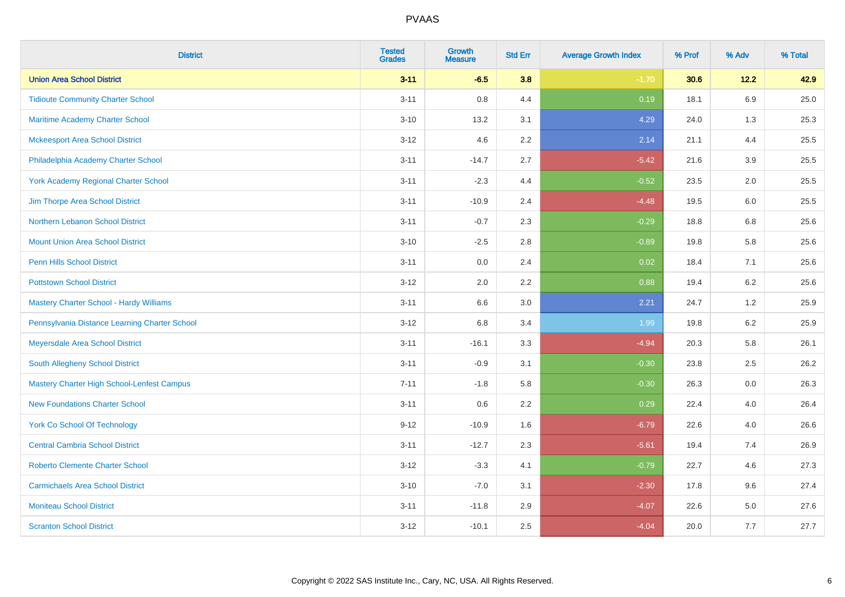| <b>District</b>                                   | <b>Tested</b><br><b>Grades</b> | <b>Growth</b><br><b>Measure</b> | <b>Std Err</b> | <b>Average Growth Index</b> | % Prof | % Adv   | % Total |
|---------------------------------------------------|--------------------------------|---------------------------------|----------------|-----------------------------|--------|---------|---------|
| <b>Union Area School District</b>                 | $3 - 11$                       | $-6.5$                          | 3.8            | $-1.70$                     | 30.6   | 12.2    | 42.9    |
| <b>Tidioute Community Charter School</b>          | $3 - 11$                       | 0.8                             | 4.4            | 0.19                        | 18.1   | 6.9     | 25.0    |
| Maritime Academy Charter School                   | $3 - 10$                       | 13.2                            | 3.1            | 4.29                        | 24.0   | 1.3     | 25.3    |
| <b>Mckeesport Area School District</b>            | $3 - 12$                       | 4.6                             | 2.2            | 2.14                        | 21.1   | 4.4     | 25.5    |
| Philadelphia Academy Charter School               | $3 - 11$                       | $-14.7$                         | 2.7            | $-5.42$                     | 21.6   | 3.9     | 25.5    |
| <b>York Academy Regional Charter School</b>       | $3 - 11$                       | $-2.3$                          | 4.4            | $-0.52$                     | 23.5   | 2.0     | 25.5    |
| Jim Thorpe Area School District                   | $3 - 11$                       | $-10.9$                         | 2.4            | $-4.48$                     | 19.5   | $6.0\,$ | 25.5    |
| Northern Lebanon School District                  | $3 - 11$                       | $-0.7$                          | 2.3            | $-0.29$                     | 18.8   | 6.8     | 25.6    |
| <b>Mount Union Area School District</b>           | $3 - 10$                       | $-2.5$                          | 2.8            | $-0.89$                     | 19.8   | 5.8     | 25.6    |
| Penn Hills School District                        | $3 - 11$                       | 0.0                             | 2.4            | 0.02                        | 18.4   | 7.1     | 25.6    |
| <b>Pottstown School District</b>                  | $3 - 12$                       | 2.0                             | 2.2            | 0.88                        | 19.4   | $6.2\,$ | 25.6    |
| Mastery Charter School - Hardy Williams           | $3 - 11$                       | 6.6                             | 3.0            | 2.21                        | 24.7   | 1.2     | 25.9    |
| Pennsylvania Distance Learning Charter School     | $3 - 12$                       | 6.8                             | 3.4            | 1.99                        | 19.8   | $6.2\,$ | 25.9    |
| Meyersdale Area School District                   | $3 - 11$                       | $-16.1$                         | 3.3            | $-4.94$                     | 20.3   | 5.8     | 26.1    |
| South Allegheny School District                   | $3 - 11$                       | $-0.9$                          | 3.1            | $-0.30$                     | 23.8   | 2.5     | 26.2    |
| <b>Mastery Charter High School-Lenfest Campus</b> | $7 - 11$                       | $-1.8$                          | 5.8            | $-0.30$                     | 26.3   | 0.0     | 26.3    |
| <b>New Foundations Charter School</b>             | $3 - 11$                       | 0.6                             | 2.2            | 0.29                        | 22.4   | 4.0     | 26.4    |
| <b>York Co School Of Technology</b>               | $9 - 12$                       | $-10.9$                         | 1.6            | $-6.79$                     | 22.6   | 4.0     | 26.6    |
| <b>Central Cambria School District</b>            | $3 - 11$                       | $-12.7$                         | 2.3            | $-5.61$                     | 19.4   | 7.4     | 26.9    |
| <b>Roberto Clemente Charter School</b>            | $3 - 12$                       | $-3.3$                          | 4.1            | $-0.79$                     | 22.7   | 4.6     | 27.3    |
| <b>Carmichaels Area School District</b>           | $3 - 10$                       | $-7.0$                          | 3.1            | $-2.30$                     | 17.8   | 9.6     | 27.4    |
| <b>Moniteau School District</b>                   | $3 - 11$                       | $-11.8$                         | 2.9            | $-4.07$                     | 22.6   | 5.0     | 27.6    |
| <b>Scranton School District</b>                   | $3 - 12$                       | $-10.1$                         | 2.5            | $-4.04$                     | 20.0   | 7.7     | 27.7    |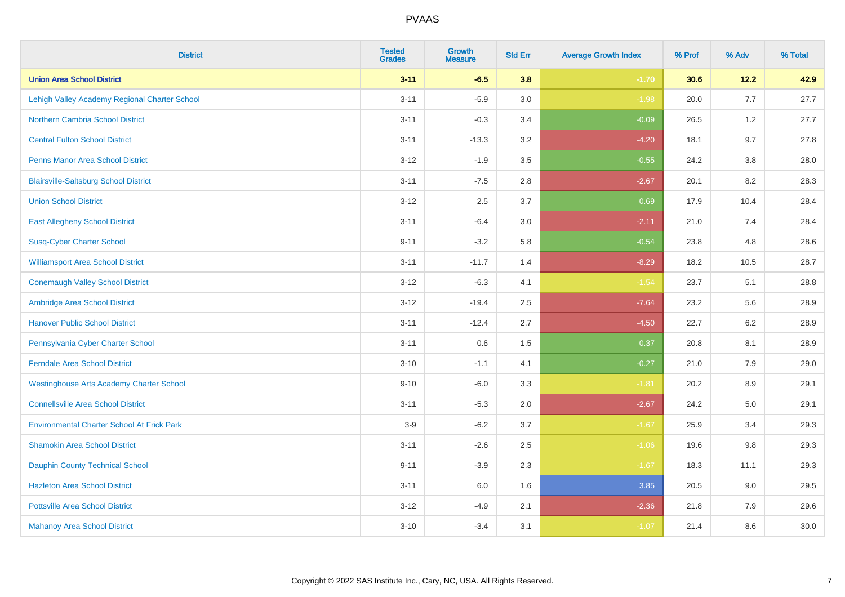| <b>District</b>                                   | <b>Tested</b><br><b>Grades</b> | <b>Growth</b><br><b>Measure</b> | <b>Std Err</b> | <b>Average Growth Index</b> | % Prof | % Adv   | % Total |
|---------------------------------------------------|--------------------------------|---------------------------------|----------------|-----------------------------|--------|---------|---------|
| <b>Union Area School District</b>                 | $3 - 11$                       | $-6.5$                          | 3.8            | $-1.70$                     | 30.6   | 12.2    | 42.9    |
| Lehigh Valley Academy Regional Charter School     | $3 - 11$                       | $-5.9$                          | 3.0            | $-1.98$                     | 20.0   | 7.7     | 27.7    |
| <b>Northern Cambria School District</b>           | $3 - 11$                       | $-0.3$                          | 3.4            | $-0.09$                     | 26.5   | 1.2     | 27.7    |
| <b>Central Fulton School District</b>             | $3 - 11$                       | $-13.3$                         | 3.2            | $-4.20$                     | 18.1   | 9.7     | 27.8    |
| <b>Penns Manor Area School District</b>           | $3 - 12$                       | $-1.9$                          | 3.5            | $-0.55$                     | 24.2   | 3.8     | 28.0    |
| <b>Blairsville-Saltsburg School District</b>      | $3 - 11$                       | $-7.5$                          | 2.8            | $-2.67$                     | 20.1   | 8.2     | 28.3    |
| <b>Union School District</b>                      | $3 - 12$                       | 2.5                             | 3.7            | 0.69                        | 17.9   | 10.4    | 28.4    |
| <b>East Allegheny School District</b>             | $3 - 11$                       | $-6.4$                          | 3.0            | $-2.11$                     | 21.0   | 7.4     | 28.4    |
| <b>Susq-Cyber Charter School</b>                  | $9 - 11$                       | $-3.2$                          | 5.8            | $-0.54$                     | 23.8   | 4.8     | 28.6    |
| <b>Williamsport Area School District</b>          | $3 - 11$                       | $-11.7$                         | 1.4            | $-8.29$                     | 18.2   | 10.5    | 28.7    |
| <b>Conemaugh Valley School District</b>           | $3 - 12$                       | $-6.3$                          | 4.1            | $-1.54$                     | 23.7   | 5.1     | 28.8    |
| Ambridge Area School District                     | $3 - 12$                       | $-19.4$                         | 2.5            | $-7.64$                     | 23.2   | 5.6     | 28.9    |
| <b>Hanover Public School District</b>             | $3 - 11$                       | $-12.4$                         | 2.7            | $-4.50$                     | 22.7   | $6.2\,$ | 28.9    |
| Pennsylvania Cyber Charter School                 | $3 - 11$                       | 0.6                             | 1.5            | 0.37                        | 20.8   | 8.1     | 28.9    |
| <b>Ferndale Area School District</b>              | $3 - 10$                       | $-1.1$                          | 4.1            | $-0.27$                     | 21.0   | 7.9     | 29.0    |
| <b>Westinghouse Arts Academy Charter School</b>   | $9 - 10$                       | $-6.0$                          | 3.3            | $-1.81$                     | 20.2   | $8.9\,$ | 29.1    |
| <b>Connellsville Area School District</b>         | $3 - 11$                       | $-5.3$                          | 2.0            | $-2.67$                     | 24.2   | 5.0     | 29.1    |
| <b>Environmental Charter School At Frick Park</b> | $3-9$                          | $-6.2$                          | 3.7            | $-1.67$                     | 25.9   | 3.4     | 29.3    |
| <b>Shamokin Area School District</b>              | $3 - 11$                       | $-2.6$                          | 2.5            | $-1.06$                     | 19.6   | $9.8\,$ | 29.3    |
| <b>Dauphin County Technical School</b>            | $9 - 11$                       | $-3.9$                          | 2.3            | $-1.67$                     | 18.3   | 11.1    | 29.3    |
| <b>Hazleton Area School District</b>              | $3 - 11$                       | 6.0                             | 1.6            | 3.85                        | 20.5   | 9.0     | 29.5    |
| <b>Pottsville Area School District</b>            | $3-12$                         | $-4.9$                          | 2.1            | $-2.36$                     | 21.8   | 7.9     | 29.6    |
| <b>Mahanoy Area School District</b>               | $3 - 10$                       | $-3.4$                          | 3.1            | $-1.07$                     | 21.4   | 8.6     | 30.0    |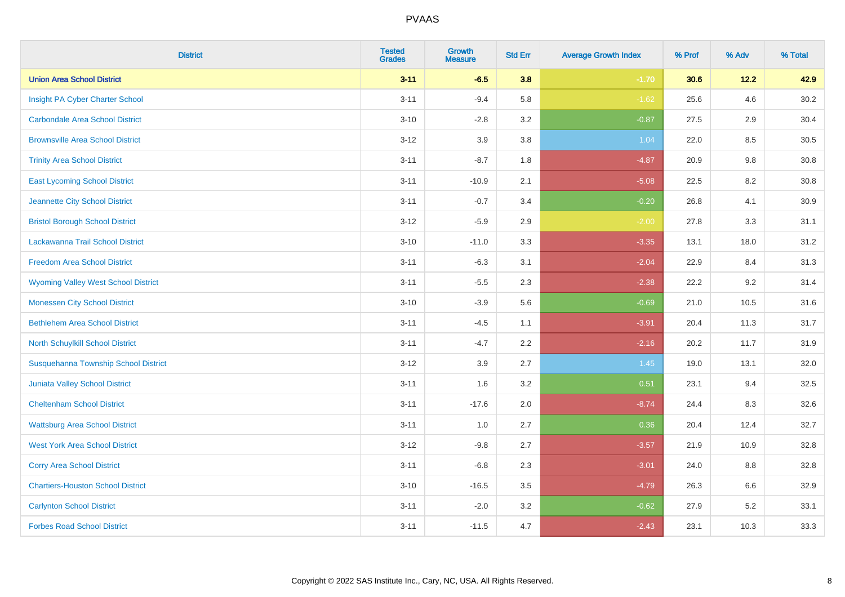| <b>District</b>                             | <b>Tested</b><br><b>Grades</b> | Growth<br><b>Measure</b> | <b>Std Err</b> | <b>Average Growth Index</b> | % Prof | % Adv   | % Total  |
|---------------------------------------------|--------------------------------|--------------------------|----------------|-----------------------------|--------|---------|----------|
| <b>Union Area School District</b>           | $3 - 11$                       | $-6.5$                   | 3.8            | $-1.70$                     | 30.6   | 12.2    | 42.9     |
| Insight PA Cyber Charter School             | $3 - 11$                       | $-9.4$                   | 5.8            | $-1.62$                     | 25.6   | 4.6     | 30.2     |
| <b>Carbondale Area School District</b>      | $3 - 10$                       | $-2.8$                   | 3.2            | $-0.87$                     | 27.5   | 2.9     | 30.4     |
| <b>Brownsville Area School District</b>     | $3 - 12$                       | 3.9                      | 3.8            | 1.04                        | 22.0   | $8.5\,$ | $30.5\,$ |
| <b>Trinity Area School District</b>         | $3 - 11$                       | $-8.7$                   | 1.8            | $-4.87$                     | 20.9   | 9.8     | 30.8     |
| <b>East Lycoming School District</b>        | $3 - 11$                       | $-10.9$                  | 2.1            | $-5.08$                     | 22.5   | 8.2     | 30.8     |
| Jeannette City School District              | $3 - 11$                       | $-0.7$                   | 3.4            | $-0.20$                     | 26.8   | 4.1     | 30.9     |
| <b>Bristol Borough School District</b>      | $3 - 12$                       | $-5.9$                   | 2.9            | $-2.00$                     | 27.8   | 3.3     | 31.1     |
| Lackawanna Trail School District            | $3 - 10$                       | $-11.0$                  | 3.3            | $-3.35$                     | 13.1   | 18.0    | 31.2     |
| <b>Freedom Area School District</b>         | $3 - 11$                       | $-6.3$                   | 3.1            | $-2.04$                     | 22.9   | 8.4     | 31.3     |
| <b>Wyoming Valley West School District</b>  | $3 - 11$                       | $-5.5$                   | 2.3            | $-2.38$                     | 22.2   | 9.2     | 31.4     |
| <b>Monessen City School District</b>        | $3 - 10$                       | $-3.9$                   | 5.6            | $-0.69$                     | 21.0   | 10.5    | 31.6     |
| <b>Bethlehem Area School District</b>       | $3 - 11$                       | $-4.5$                   | 1.1            | $-3.91$                     | 20.4   | 11.3    | 31.7     |
| North Schuylkill School District            | $3 - 11$                       | $-4.7$                   | 2.2            | $-2.16$                     | 20.2   | 11.7    | 31.9     |
| <b>Susquehanna Township School District</b> | $3-12$                         | 3.9                      | 2.7            | 1.45                        | 19.0   | 13.1    | 32.0     |
| <b>Juniata Valley School District</b>       | $3 - 11$                       | 1.6                      | 3.2            | 0.51                        | 23.1   | 9.4     | 32.5     |
| <b>Cheltenham School District</b>           | $3 - 11$                       | $-17.6$                  | 2.0            | $-8.74$                     | 24.4   | 8.3     | 32.6     |
| <b>Wattsburg Area School District</b>       | $3 - 11$                       | 1.0                      | 2.7            | 0.36                        | 20.4   | 12.4    | 32.7     |
| <b>West York Area School District</b>       | $3 - 12$                       | $-9.8$                   | 2.7            | $-3.57$                     | 21.9   | 10.9    | 32.8     |
| <b>Corry Area School District</b>           | $3 - 11$                       | $-6.8$                   | 2.3            | $-3.01$                     | 24.0   | 8.8     | 32.8     |
| <b>Chartiers-Houston School District</b>    | $3 - 10$                       | $-16.5$                  | 3.5            | $-4.79$                     | 26.3   | 6.6     | 32.9     |
| <b>Carlynton School District</b>            | $3 - 11$                       | $-2.0$                   | 3.2            | $-0.62$                     | 27.9   | 5.2     | 33.1     |
| <b>Forbes Road School District</b>          | $3 - 11$                       | $-11.5$                  | 4.7            | $-2.43$                     | 23.1   | 10.3    | 33.3     |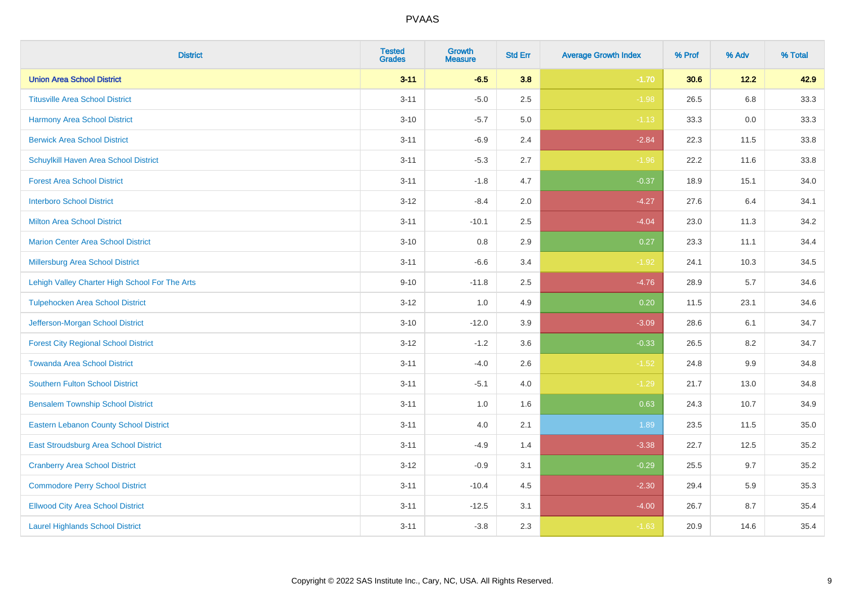| <b>District</b>                                | <b>Tested</b><br><b>Grades</b> | Growth<br><b>Measure</b> | <b>Std Err</b> | <b>Average Growth Index</b> | % Prof | % Adv   | % Total |
|------------------------------------------------|--------------------------------|--------------------------|----------------|-----------------------------|--------|---------|---------|
| <b>Union Area School District</b>              | $3 - 11$                       | $-6.5$                   | 3.8            | $-1.70$                     | 30.6   | 12.2    | 42.9    |
| <b>Titusville Area School District</b>         | $3 - 11$                       | $-5.0$                   | 2.5            | $-1.98$                     | 26.5   | 6.8     | 33.3    |
| <b>Harmony Area School District</b>            | $3 - 10$                       | $-5.7$                   | 5.0            | $-1.13$                     | 33.3   | 0.0     | 33.3    |
| <b>Berwick Area School District</b>            | $3 - 11$                       | $-6.9$                   | 2.4            | $-2.84$                     | 22.3   | 11.5    | 33.8    |
| Schuylkill Haven Area School District          | $3 - 11$                       | $-5.3$                   | 2.7            | $-1.96$                     | 22.2   | 11.6    | 33.8    |
| <b>Forest Area School District</b>             | $3 - 11$                       | $-1.8$                   | 4.7            | $-0.37$                     | 18.9   | 15.1    | 34.0    |
| <b>Interboro School District</b>               | $3 - 12$                       | $-8.4$                   | 2.0            | $-4.27$                     | 27.6   | 6.4     | 34.1    |
| <b>Milton Area School District</b>             | $3 - 11$                       | $-10.1$                  | 2.5            | $-4.04$                     | 23.0   | 11.3    | 34.2    |
| <b>Marion Center Area School District</b>      | $3 - 10$                       | 0.8                      | 2.9            | 0.27                        | 23.3   | 11.1    | 34.4    |
| Millersburg Area School District               | $3 - 11$                       | $-6.6$                   | 3.4            | $-1.92$                     | 24.1   | 10.3    | 34.5    |
| Lehigh Valley Charter High School For The Arts | $9 - 10$                       | $-11.8$                  | 2.5            | $-4.76$                     | 28.9   | 5.7     | 34.6    |
| <b>Tulpehocken Area School District</b>        | $3 - 12$                       | 1.0                      | 4.9            | 0.20                        | 11.5   | 23.1    | 34.6    |
| Jefferson-Morgan School District               | $3 - 10$                       | $-12.0$                  | 3.9            | $-3.09$                     | 28.6   | 6.1     | 34.7    |
| <b>Forest City Regional School District</b>    | $3-12$                         | $-1.2$                   | 3.6            | $-0.33$                     | 26.5   | 8.2     | 34.7    |
| <b>Towanda Area School District</b>            | $3 - 11$                       | $-4.0$                   | 2.6            | $-1.52$                     | 24.8   | $9.9\,$ | 34.8    |
| <b>Southern Fulton School District</b>         | $3 - 11$                       | $-5.1$                   | 4.0            | $-1.29$                     | 21.7   | 13.0    | 34.8    |
| <b>Bensalem Township School District</b>       | $3 - 11$                       | 1.0                      | 1.6            | 0.63                        | 24.3   | 10.7    | 34.9    |
| <b>Eastern Lebanon County School District</b>  | $3 - 11$                       | 4.0                      | 2.1            | 1.89                        | 23.5   | 11.5    | 35.0    |
| East Stroudsburg Area School District          | $3 - 11$                       | $-4.9$                   | 1.4            | $-3.38$                     | 22.7   | 12.5    | 35.2    |
| <b>Cranberry Area School District</b>          | $3-12$                         | $-0.9$                   | 3.1            | $-0.29$                     | 25.5   | 9.7     | 35.2    |
| <b>Commodore Perry School District</b>         | $3 - 11$                       | $-10.4$                  | 4.5            | $-2.30$                     | 29.4   | 5.9     | 35.3    |
| <b>Ellwood City Area School District</b>       | $3 - 11$                       | $-12.5$                  | 3.1            | $-4.00$                     | 26.7   | 8.7     | 35.4    |
| <b>Laurel Highlands School District</b>        | $3 - 11$                       | $-3.8$                   | 2.3            | $-1.63$                     | 20.9   | 14.6    | 35.4    |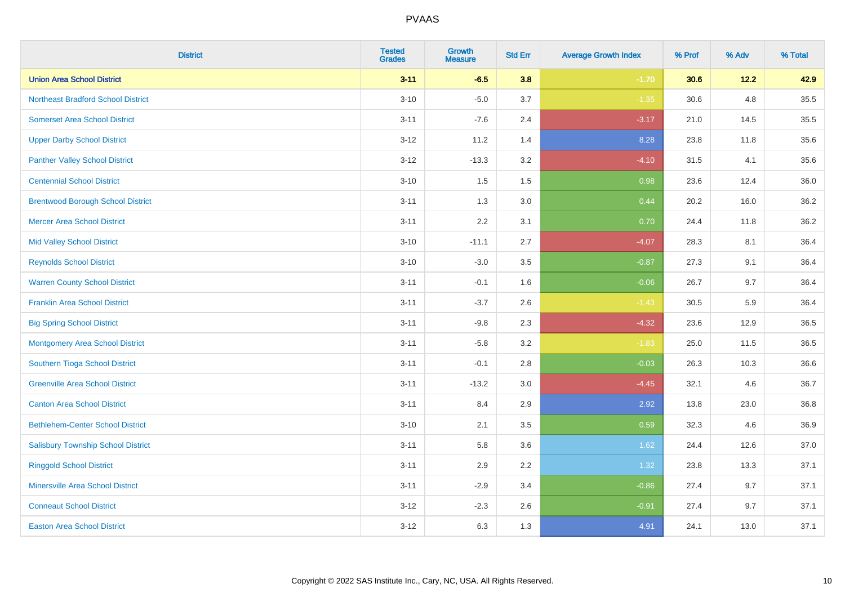| <b>District</b>                           | <b>Tested</b><br><b>Grades</b> | <b>Growth</b><br><b>Measure</b> | <b>Std Err</b> | <b>Average Growth Index</b> | % Prof | % Adv | % Total |
|-------------------------------------------|--------------------------------|---------------------------------|----------------|-----------------------------|--------|-------|---------|
| <b>Union Area School District</b>         | $3 - 11$                       | $-6.5$                          | 3.8            | $-1.70$                     | 30.6   | 12.2  | 42.9    |
| <b>Northeast Bradford School District</b> | $3 - 10$                       | $-5.0$                          | 3.7            | $-1.35$                     | 30.6   | 4.8   | 35.5    |
| <b>Somerset Area School District</b>      | $3 - 11$                       | $-7.6$                          | 2.4            | $-3.17$                     | 21.0   | 14.5  | 35.5    |
| <b>Upper Darby School District</b>        | $3 - 12$                       | 11.2                            | 1.4            | 8.28                        | 23.8   | 11.8  | 35.6    |
| <b>Panther Valley School District</b>     | $3-12$                         | $-13.3$                         | 3.2            | $-4.10$                     | 31.5   | 4.1   | 35.6    |
| <b>Centennial School District</b>         | $3 - 10$                       | 1.5                             | 1.5            | 0.98                        | 23.6   | 12.4  | 36.0    |
| <b>Brentwood Borough School District</b>  | $3 - 11$                       | 1.3                             | 3.0            | 0.44                        | 20.2   | 16.0  | 36.2    |
| <b>Mercer Area School District</b>        | $3 - 11$                       | 2.2                             | 3.1            | 0.70                        | 24.4   | 11.8  | 36.2    |
| <b>Mid Valley School District</b>         | $3 - 10$                       | $-11.1$                         | 2.7            | $-4.07$                     | 28.3   | 8.1   | 36.4    |
| <b>Reynolds School District</b>           | $3 - 10$                       | $-3.0$                          | 3.5            | $-0.87$                     | 27.3   | 9.1   | 36.4    |
| <b>Warren County School District</b>      | $3 - 11$                       | $-0.1$                          | 1.6            | $-0.06$                     | 26.7   | 9.7   | 36.4    |
| <b>Franklin Area School District</b>      | $3 - 11$                       | $-3.7$                          | 2.6            | $-1.43$                     | 30.5   | 5.9   | 36.4    |
| <b>Big Spring School District</b>         | $3 - 11$                       | $-9.8$                          | 2.3            | $-4.32$                     | 23.6   | 12.9  | 36.5    |
| <b>Montgomery Area School District</b>    | $3 - 11$                       | $-5.8$                          | 3.2            | $-1.83$                     | 25.0   | 11.5  | 36.5    |
| Southern Tioga School District            | $3 - 11$                       | $-0.1$                          | 2.8            | $-0.03$                     | 26.3   | 10.3  | 36.6    |
| <b>Greenville Area School District</b>    | $3 - 11$                       | $-13.2$                         | 3.0            | $-4.45$                     | 32.1   | 4.6   | 36.7    |
| <b>Canton Area School District</b>        | $3 - 11$                       | 8.4                             | 2.9            | 2.92                        | 13.8   | 23.0  | 36.8    |
| <b>Bethlehem-Center School District</b>   | $3 - 10$                       | 2.1                             | 3.5            | 0.59                        | 32.3   | 4.6   | 36.9    |
| <b>Salisbury Township School District</b> | $3 - 11$                       | 5.8                             | 3.6            | 1.62                        | 24.4   | 12.6  | 37.0    |
| <b>Ringgold School District</b>           | $3 - 11$                       | 2.9                             | 2.2            | 1.32                        | 23.8   | 13.3  | 37.1    |
| <b>Minersville Area School District</b>   | $3 - 11$                       | $-2.9$                          | 3.4            | $-0.86$                     | 27.4   | 9.7   | 37.1    |
| <b>Conneaut School District</b>           | $3-12$                         | $-2.3$                          | 2.6            | $-0.91$                     | 27.4   | 9.7   | 37.1    |
| <b>Easton Area School District</b>        | $3 - 12$                       | 6.3                             | 1.3            | 4.91                        | 24.1   | 13.0  | 37.1    |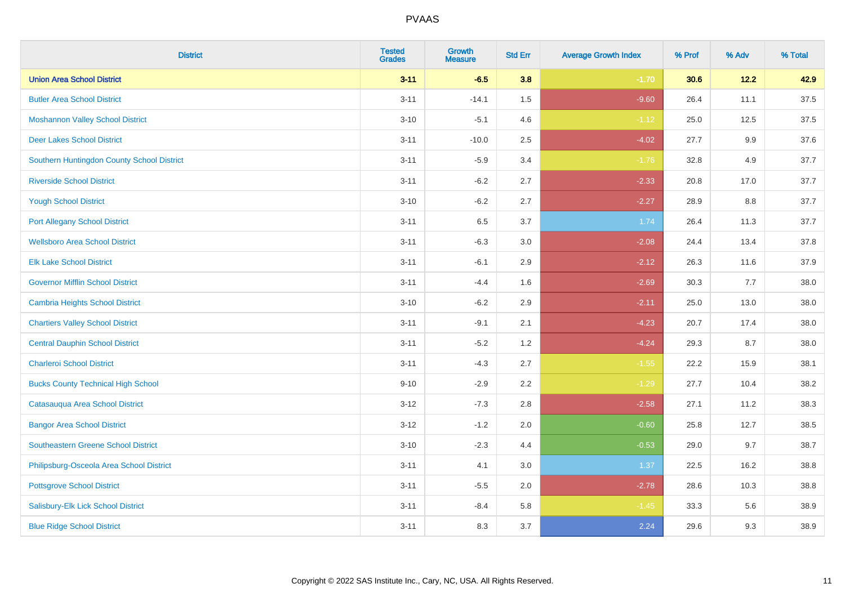| <b>District</b>                            | <b>Tested</b><br><b>Grades</b> | <b>Growth</b><br><b>Measure</b> | <b>Std Err</b> | <b>Average Growth Index</b> | % Prof | % Adv | % Total |
|--------------------------------------------|--------------------------------|---------------------------------|----------------|-----------------------------|--------|-------|---------|
| <b>Union Area School District</b>          | $3 - 11$                       | $-6.5$                          | 3.8            | $-1.70$                     | 30.6   | 12.2  | 42.9    |
| <b>Butler Area School District</b>         | $3 - 11$                       | $-14.1$                         | 1.5            | $-9.60$                     | 26.4   | 11.1  | 37.5    |
| <b>Moshannon Valley School District</b>    | $3 - 10$                       | $-5.1$                          | 4.6            | $-1.12$                     | 25.0   | 12.5  | 37.5    |
| <b>Deer Lakes School District</b>          | $3 - 11$                       | $-10.0$                         | 2.5            | $-4.02$                     | 27.7   | 9.9   | 37.6    |
| Southern Huntingdon County School District | $3 - 11$                       | $-5.9$                          | 3.4            | $-1.76$                     | 32.8   | 4.9   | 37.7    |
| <b>Riverside School District</b>           | $3 - 11$                       | $-6.2$                          | 2.7            | $-2.33$                     | 20.8   | 17.0  | 37.7    |
| <b>Yough School District</b>               | $3 - 10$                       | $-6.2$                          | 2.7            | $-2.27$                     | 28.9   | 8.8   | 37.7    |
| <b>Port Allegany School District</b>       | $3 - 11$                       | 6.5                             | 3.7            | 1.74                        | 26.4   | 11.3  | 37.7    |
| <b>Wellsboro Area School District</b>      | $3 - 11$                       | $-6.3$                          | 3.0            | $-2.08$                     | 24.4   | 13.4  | 37.8    |
| <b>Elk Lake School District</b>            | $3 - 11$                       | $-6.1$                          | 2.9            | $-2.12$                     | 26.3   | 11.6  | 37.9    |
| <b>Governor Mifflin School District</b>    | $3 - 11$                       | $-4.4$                          | 1.6            | $-2.69$                     | 30.3   | 7.7   | 38.0    |
| <b>Cambria Heights School District</b>     | $3 - 10$                       | $-6.2$                          | 2.9            | $-2.11$                     | 25.0   | 13.0  | 38.0    |
| <b>Chartiers Valley School District</b>    | $3 - 11$                       | $-9.1$                          | 2.1            | $-4.23$                     | 20.7   | 17.4  | 38.0    |
| <b>Central Dauphin School District</b>     | $3 - 11$                       | $-5.2$                          | 1.2            | $-4.24$                     | 29.3   | 8.7   | 38.0    |
| <b>Charleroi School District</b>           | $3 - 11$                       | $-4.3$                          | 2.7            | $-1.55$                     | 22.2   | 15.9  | 38.1    |
| <b>Bucks County Technical High School</b>  | $9 - 10$                       | $-2.9$                          | 2.2            | $-1.29$                     | 27.7   | 10.4  | 38.2    |
| Catasauqua Area School District            | $3 - 12$                       | $-7.3$                          | 2.8            | $-2.58$                     | 27.1   | 11.2  | 38.3    |
| <b>Bangor Area School District</b>         | $3 - 12$                       | $-1.2$                          | 2.0            | $-0.60$                     | 25.8   | 12.7  | 38.5    |
| <b>Southeastern Greene School District</b> | $3 - 10$                       | $-2.3$                          | 4.4            | $-0.53$                     | 29.0   | 9.7   | 38.7    |
| Philipsburg-Osceola Area School District   | $3 - 11$                       | 4.1                             | 3.0            | 1.37                        | 22.5   | 16.2  | 38.8    |
| <b>Pottsgrove School District</b>          | $3 - 11$                       | $-5.5$                          | 2.0            | $-2.78$                     | 28.6   | 10.3  | 38.8    |
| Salisbury-Elk Lick School District         | $3 - 11$                       | $-8.4$                          | 5.8            | $-1.45$                     | 33.3   | 5.6   | 38.9    |
| <b>Blue Ridge School District</b>          | $3 - 11$                       | 8.3                             | 3.7            | 2.24                        | 29.6   | 9.3   | 38.9    |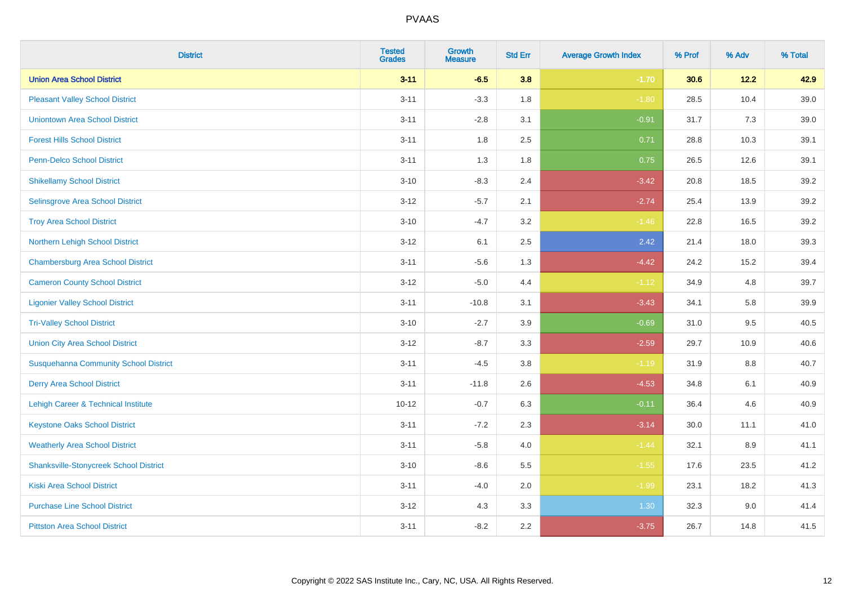| <b>District</b>                               | <b>Tested</b><br><b>Grades</b> | <b>Growth</b><br><b>Measure</b> | <b>Std Err</b> | <b>Average Growth Index</b> | % Prof | % Adv | % Total |
|-----------------------------------------------|--------------------------------|---------------------------------|----------------|-----------------------------|--------|-------|---------|
| <b>Union Area School District</b>             | $3 - 11$                       | $-6.5$                          | 3.8            | $-1.70$                     | 30.6   | 12.2  | 42.9    |
| <b>Pleasant Valley School District</b>        | $3 - 11$                       | $-3.3$                          | 1.8            | $-1.80$                     | 28.5   | 10.4  | 39.0    |
| <b>Uniontown Area School District</b>         | $3 - 11$                       | $-2.8$                          | 3.1            | $-0.91$                     | 31.7   | 7.3   | 39.0    |
| <b>Forest Hills School District</b>           | $3 - 11$                       | 1.8                             | 2.5            | 0.71                        | 28.8   | 10.3  | 39.1    |
| Penn-Delco School District                    | $3 - 11$                       | 1.3                             | 1.8            | 0.75                        | 26.5   | 12.6  | 39.1    |
| <b>Shikellamy School District</b>             | $3 - 10$                       | $-8.3$                          | 2.4            | $-3.42$                     | 20.8   | 18.5  | 39.2    |
| Selinsgrove Area School District              | $3-12$                         | $-5.7$                          | 2.1            | $-2.74$                     | 25.4   | 13.9  | 39.2    |
| <b>Troy Area School District</b>              | $3 - 10$                       | $-4.7$                          | 3.2            | $-1.46$                     | 22.8   | 16.5  | 39.2    |
| Northern Lehigh School District               | $3 - 12$                       | 6.1                             | 2.5            | 2.42                        | 21.4   | 18.0  | 39.3    |
| <b>Chambersburg Area School District</b>      | $3 - 11$                       | $-5.6$                          | 1.3            | $-4.42$                     | 24.2   | 15.2  | 39.4    |
| <b>Cameron County School District</b>         | $3 - 12$                       | $-5.0$                          | 4.4            | $-1.12$                     | 34.9   | 4.8   | 39.7    |
| <b>Ligonier Valley School District</b>        | $3 - 11$                       | $-10.8$                         | 3.1            | $-3.43$                     | 34.1   | 5.8   | 39.9    |
| <b>Tri-Valley School District</b>             | $3 - 10$                       | $-2.7$                          | 3.9            | $-0.69$                     | 31.0   | 9.5   | 40.5    |
| <b>Union City Area School District</b>        | $3 - 12$                       | $-8.7$                          | 3.3            | $-2.59$                     | 29.7   | 10.9  | 40.6    |
| <b>Susquehanna Community School District</b>  | $3 - 11$                       | $-4.5$                          | 3.8            | $-1.19$                     | 31.9   | 8.8   | 40.7    |
| <b>Derry Area School District</b>             | $3 - 11$                       | $-11.8$                         | 2.6            | $-4.53$                     | 34.8   | 6.1   | 40.9    |
| Lehigh Career & Technical Institute           | $10 - 12$                      | $-0.7$                          | 6.3            | $-0.11$                     | 36.4   | 4.6   | 40.9    |
| <b>Keystone Oaks School District</b>          | $3 - 11$                       | $-7.2$                          | 2.3            | $-3.14$                     | 30.0   | 11.1  | 41.0    |
| <b>Weatherly Area School District</b>         | $3 - 11$                       | $-5.8$                          | 4.0            | $-1.44$                     | 32.1   | 8.9   | 41.1    |
| <b>Shanksville-Stonycreek School District</b> | $3 - 10$                       | $-8.6$                          | 5.5            | $-1.55$                     | 17.6   | 23.5  | 41.2    |
| <b>Kiski Area School District</b>             | $3 - 11$                       | $-4.0$                          | 2.0            | $-1.99$                     | 23.1   | 18.2  | 41.3    |
| <b>Purchase Line School District</b>          | $3-12$                         | 4.3                             | 3.3            | 1.30                        | 32.3   | 9.0   | 41.4    |
| <b>Pittston Area School District</b>          | $3 - 11$                       | $-8.2$                          | 2.2            | $-3.75$                     | 26.7   | 14.8  | 41.5    |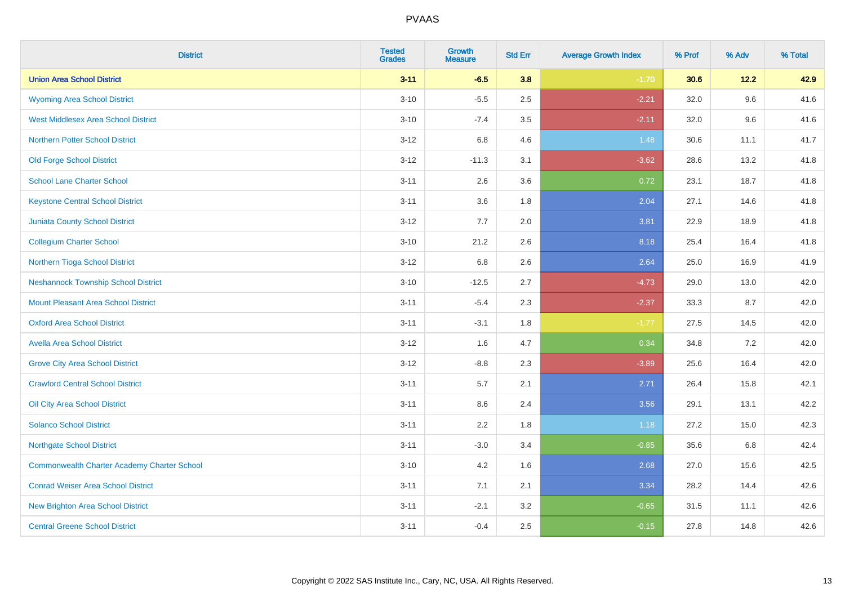| <b>District</b>                                    | <b>Tested</b><br><b>Grades</b> | <b>Growth</b><br><b>Measure</b> | <b>Std Err</b> | <b>Average Growth Index</b> | % Prof | % Adv  | % Total |
|----------------------------------------------------|--------------------------------|---------------------------------|----------------|-----------------------------|--------|--------|---------|
| <b>Union Area School District</b>                  | $3 - 11$                       | $-6.5$                          | 3.8            | $-1.70$                     | 30.6   | $12.2$ | 42.9    |
| <b>Wyoming Area School District</b>                | $3 - 10$                       | $-5.5$                          | 2.5            | $-2.21$                     | 32.0   | 9.6    | 41.6    |
| <b>West Middlesex Area School District</b>         | $3 - 10$                       | $-7.4$                          | 3.5            | $-2.11$                     | 32.0   | 9.6    | 41.6    |
| <b>Northern Potter School District</b>             | $3 - 12$                       | 6.8                             | 4.6            | 1.48                        | 30.6   | 11.1   | 41.7    |
| <b>Old Forge School District</b>                   | $3 - 12$                       | $-11.3$                         | 3.1            | $-3.62$                     | 28.6   | 13.2   | 41.8    |
| <b>School Lane Charter School</b>                  | $3 - 11$                       | 2.6                             | 3.6            | 0.72                        | 23.1   | 18.7   | 41.8    |
| <b>Keystone Central School District</b>            | $3 - 11$                       | 3.6                             | 1.8            | 2.04                        | 27.1   | 14.6   | 41.8    |
| <b>Juniata County School District</b>              | $3 - 12$                       | 7.7                             | 2.0            | 3.81                        | 22.9   | 18.9   | 41.8    |
| <b>Collegium Charter School</b>                    | $3 - 10$                       | 21.2                            | 2.6            | 8.18                        | 25.4   | 16.4   | 41.8    |
| Northern Tioga School District                     | $3 - 12$                       | 6.8                             | 2.6            | 2.64                        | 25.0   | 16.9   | 41.9    |
| <b>Neshannock Township School District</b>         | $3 - 10$                       | $-12.5$                         | 2.7            | $-4.73$                     | 29.0   | 13.0   | 42.0    |
| <b>Mount Pleasant Area School District</b>         | $3 - 11$                       | $-5.4$                          | 2.3            | $-2.37$                     | 33.3   | 8.7    | 42.0    |
| <b>Oxford Area School District</b>                 | $3 - 11$                       | $-3.1$                          | 1.8            | $-1.77$                     | 27.5   | 14.5   | 42.0    |
| <b>Avella Area School District</b>                 | $3 - 12$                       | 1.6                             | 4.7            | 0.34                        | 34.8   | 7.2    | 42.0    |
| <b>Grove City Area School District</b>             | $3 - 12$                       | $-8.8$                          | 2.3            | $-3.89$                     | 25.6   | 16.4   | 42.0    |
| <b>Crawford Central School District</b>            | $3 - 11$                       | 5.7                             | 2.1            | 2.71                        | 26.4   | 15.8   | 42.1    |
| Oil City Area School District                      | $3 - 11$                       | 8.6                             | 2.4            | 3.56                        | 29.1   | 13.1   | 42.2    |
| <b>Solanco School District</b>                     | $3 - 11$                       | 2.2                             | 1.8            | 1.18                        | 27.2   | 15.0   | 42.3    |
| <b>Northgate School District</b>                   | $3 - 11$                       | $-3.0$                          | 3.4            | $-0.85$                     | 35.6   | 6.8    | 42.4    |
| <b>Commonwealth Charter Academy Charter School</b> | $3 - 10$                       | 4.2                             | 1.6            | 2.68                        | 27.0   | 15.6   | 42.5    |
| <b>Conrad Weiser Area School District</b>          | $3 - 11$                       | 7.1                             | 2.1            | 3.34                        | 28.2   | 14.4   | 42.6    |
| <b>New Brighton Area School District</b>           | $3 - 11$                       | $-2.1$                          | 3.2            | $-0.65$                     | 31.5   | 11.1   | 42.6    |
| <b>Central Greene School District</b>              | $3 - 11$                       | $-0.4$                          | 2.5            | $-0.15$                     | 27.8   | 14.8   | 42.6    |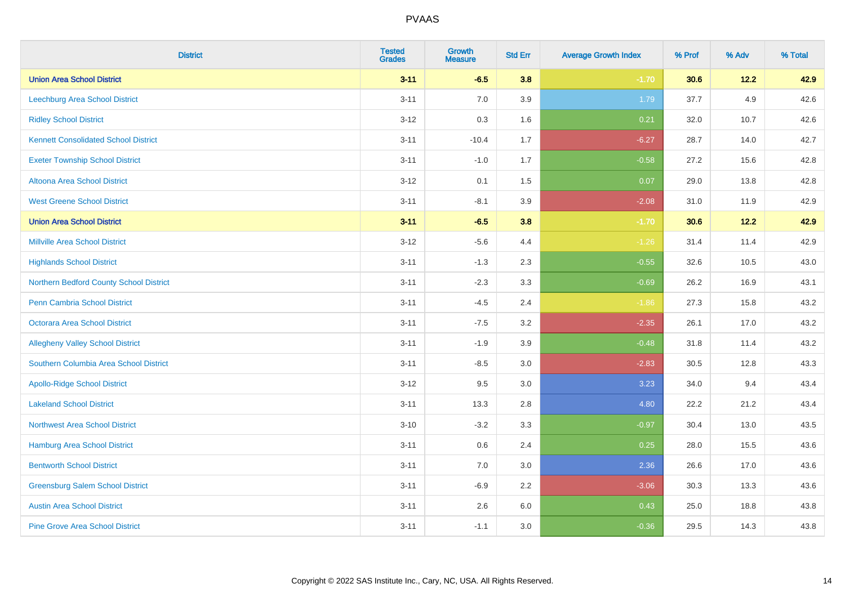| <b>District</b>                             | <b>Tested</b><br><b>Grades</b> | <b>Growth</b><br><b>Measure</b> | <b>Std Err</b> | <b>Average Growth Index</b> | % Prof | % Adv | % Total |
|---------------------------------------------|--------------------------------|---------------------------------|----------------|-----------------------------|--------|-------|---------|
| <b>Union Area School District</b>           | $3 - 11$                       | $-6.5$                          | 3.8            | $-1.70$                     | 30.6   | 12.2  | 42.9    |
| Leechburg Area School District              | $3 - 11$                       | 7.0                             | 3.9            | 1.79                        | 37.7   | 4.9   | 42.6    |
| <b>Ridley School District</b>               | $3-12$                         | 0.3                             | 1.6            | 0.21                        | 32.0   | 10.7  | 42.6    |
| <b>Kennett Consolidated School District</b> | $3 - 11$                       | $-10.4$                         | 1.7            | $-6.27$                     | 28.7   | 14.0  | 42.7    |
| <b>Exeter Township School District</b>      | $3 - 11$                       | $-1.0$                          | 1.7            | $-0.58$                     | 27.2   | 15.6  | 42.8    |
| <b>Altoona Area School District</b>         | $3-12$                         | 0.1                             | 1.5            | 0.07                        | 29.0   | 13.8  | 42.8    |
| <b>West Greene School District</b>          | $3 - 11$                       | $-8.1$                          | 3.9            | $-2.08$                     | 31.0   | 11.9  | 42.9    |
| <b>Union Area School District</b>           | $3 - 11$                       | $-6.5$                          | 3.8            | $-1.70$                     | 30.6   | 12.2  | 42.9    |
| <b>Millville Area School District</b>       | $3-12$                         | $-5.6$                          | 4.4            | $-1.26$                     | 31.4   | 11.4  | 42.9    |
| <b>Highlands School District</b>            | $3 - 11$                       | $-1.3$                          | 2.3            | $-0.55$                     | 32.6   | 10.5  | 43.0    |
| Northern Bedford County School District     | $3 - 11$                       | $-2.3$                          | 3.3            | $-0.69$                     | 26.2   | 16.9  | 43.1    |
| <b>Penn Cambria School District</b>         | $3 - 11$                       | $-4.5$                          | 2.4            | $-1.86$                     | 27.3   | 15.8  | 43.2    |
| Octorara Area School District               | $3 - 11$                       | $-7.5$                          | 3.2            | $-2.35$                     | 26.1   | 17.0  | 43.2    |
| <b>Allegheny Valley School District</b>     | $3 - 11$                       | $-1.9$                          | 3.9            | $-0.48$                     | 31.8   | 11.4  | 43.2    |
| Southern Columbia Area School District      | $3 - 11$                       | $-8.5$                          | 3.0            | $-2.83$                     | 30.5   | 12.8  | 43.3    |
| <b>Apollo-Ridge School District</b>         | $3 - 12$                       | 9.5                             | 3.0            | 3.23                        | 34.0   | 9.4   | 43.4    |
| <b>Lakeland School District</b>             | $3 - 11$                       | 13.3                            | 2.8            | 4.80                        | 22.2   | 21.2  | 43.4    |
| Northwest Area School District              | $3 - 10$                       | $-3.2$                          | 3.3            | $-0.97$                     | 30.4   | 13.0  | 43.5    |
| <b>Hamburg Area School District</b>         | $3 - 11$                       | 0.6                             | 2.4            | 0.25                        | 28.0   | 15.5  | 43.6    |
| <b>Bentworth School District</b>            | $3 - 11$                       | 7.0                             | 3.0            | 2.36                        | 26.6   | 17.0  | 43.6    |
| <b>Greensburg Salem School District</b>     | $3 - 11$                       | $-6.9$                          | 2.2            | $-3.06$                     | 30.3   | 13.3  | 43.6    |
| <b>Austin Area School District</b>          | $3 - 11$                       | 2.6                             | 6.0            | 0.43                        | 25.0   | 18.8  | 43.8    |
| <b>Pine Grove Area School District</b>      | $3 - 11$                       | $-1.1$                          | 3.0            | $-0.36$                     | 29.5   | 14.3  | 43.8    |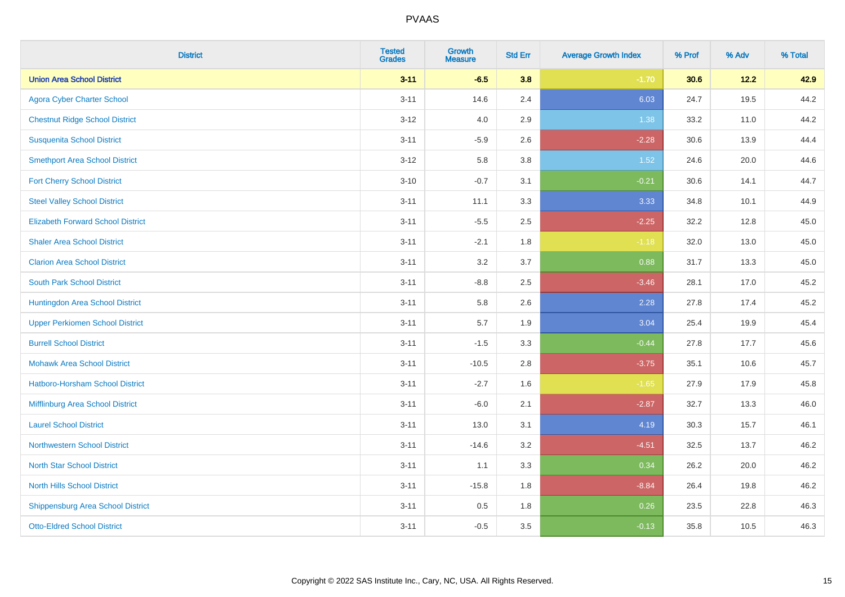| <b>District</b>                          | <b>Tested</b><br><b>Grades</b> | <b>Growth</b><br><b>Measure</b> | <b>Std Err</b> | <b>Average Growth Index</b> | % Prof | % Adv | % Total |
|------------------------------------------|--------------------------------|---------------------------------|----------------|-----------------------------|--------|-------|---------|
| <b>Union Area School District</b>        | $3 - 11$                       | $-6.5$                          | 3.8            | $-1.70$                     | 30.6   | 12.2  | 42.9    |
| <b>Agora Cyber Charter School</b>        | $3 - 11$                       | 14.6                            | 2.4            | 6.03                        | 24.7   | 19.5  | 44.2    |
| <b>Chestnut Ridge School District</b>    | $3 - 12$                       | 4.0                             | 2.9            | 1.38                        | 33.2   | 11.0  | 44.2    |
| <b>Susquenita School District</b>        | $3 - 11$                       | $-5.9$                          | 2.6            | $-2.28$                     | 30.6   | 13.9  | 44.4    |
| <b>Smethport Area School District</b>    | $3 - 12$                       | 5.8                             | 3.8            | 1.52                        | 24.6   | 20.0  | 44.6    |
| <b>Fort Cherry School District</b>       | $3 - 10$                       | $-0.7$                          | 3.1            | $-0.21$                     | 30.6   | 14.1  | 44.7    |
| <b>Steel Valley School District</b>      | $3 - 11$                       | 11.1                            | 3.3            | 3.33                        | 34.8   | 10.1  | 44.9    |
| <b>Elizabeth Forward School District</b> | $3 - 11$                       | $-5.5$                          | 2.5            | $-2.25$                     | 32.2   | 12.8  | 45.0    |
| <b>Shaler Area School District</b>       | $3 - 11$                       | $-2.1$                          | 1.8            | $-1.18$                     | 32.0   | 13.0  | 45.0    |
| <b>Clarion Area School District</b>      | $3 - 11$                       | 3.2                             | 3.7            | 0.88                        | 31.7   | 13.3  | 45.0    |
| <b>South Park School District</b>        | $3 - 11$                       | $-8.8$                          | 2.5            | $-3.46$                     | 28.1   | 17.0  | 45.2    |
| Huntingdon Area School District          | $3 - 11$                       | 5.8                             | 2.6            | 2.28                        | 27.8   | 17.4  | 45.2    |
| <b>Upper Perkiomen School District</b>   | $3 - 11$                       | 5.7                             | 1.9            | 3.04                        | 25.4   | 19.9  | 45.4    |
| <b>Burrell School District</b>           | $3 - 11$                       | $-1.5$                          | 3.3            | $-0.44$                     | 27.8   | 17.7  | 45.6    |
| <b>Mohawk Area School District</b>       | $3 - 11$                       | $-10.5$                         | 2.8            | $-3.75$                     | 35.1   | 10.6  | 45.7    |
| Hatboro-Horsham School District          | $3 - 11$                       | $-2.7$                          | 1.6            | $-1.65$                     | 27.9   | 17.9  | 45.8    |
| Mifflinburg Area School District         | $3 - 11$                       | $-6.0$                          | 2.1            | $-2.87$                     | 32.7   | 13.3  | 46.0    |
| <b>Laurel School District</b>            | $3 - 11$                       | 13.0                            | 3.1            | 4.19                        | 30.3   | 15.7  | 46.1    |
| Northwestern School District             | $3 - 11$                       | $-14.6$                         | 3.2            | $-4.51$                     | 32.5   | 13.7  | 46.2    |
| <b>North Star School District</b>        | $3 - 11$                       | 1.1                             | 3.3            | 0.34                        | 26.2   | 20.0  | 46.2    |
| <b>North Hills School District</b>       | $3 - 11$                       | $-15.8$                         | 1.8            | $-8.84$                     | 26.4   | 19.8  | 46.2    |
| <b>Shippensburg Area School District</b> | $3 - 11$                       | 0.5                             | 1.8            | 0.26                        | 23.5   | 22.8  | 46.3    |
| <b>Otto-Eldred School District</b>       | $3 - 11$                       | $-0.5$                          | 3.5            | $-0.13$                     | 35.8   | 10.5  | 46.3    |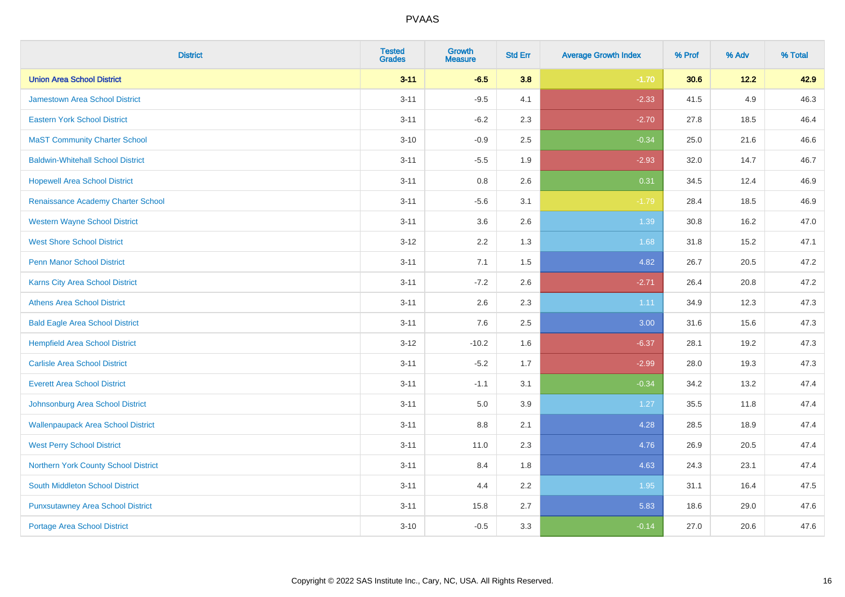| <b>District</b>                           | <b>Tested</b><br><b>Grades</b> | <b>Growth</b><br><b>Measure</b> | <b>Std Err</b> | <b>Average Growth Index</b> | % Prof | % Adv | % Total |
|-------------------------------------------|--------------------------------|---------------------------------|----------------|-----------------------------|--------|-------|---------|
| <b>Union Area School District</b>         | $3 - 11$                       | $-6.5$                          | 3.8            | $-1.70$                     | 30.6   | 12.2  | 42.9    |
| <b>Jamestown Area School District</b>     | $3 - 11$                       | $-9.5$                          | 4.1            | $-2.33$                     | 41.5   | 4.9   | 46.3    |
| <b>Eastern York School District</b>       | $3 - 11$                       | $-6.2$                          | 2.3            | $-2.70$                     | 27.8   | 18.5  | 46.4    |
| <b>MaST Community Charter School</b>      | $3 - 10$                       | $-0.9$                          | 2.5            | $-0.34$                     | 25.0   | 21.6  | 46.6    |
| <b>Baldwin-Whitehall School District</b>  | $3 - 11$                       | $-5.5$                          | 1.9            | $-2.93$                     | 32.0   | 14.7  | 46.7    |
| <b>Hopewell Area School District</b>      | $3 - 11$                       | 0.8                             | 2.6            | 0.31                        | 34.5   | 12.4  | 46.9    |
| Renaissance Academy Charter School        | $3 - 11$                       | $-5.6$                          | 3.1            | $-1.79$                     | 28.4   | 18.5  | 46.9    |
| <b>Western Wayne School District</b>      | $3 - 11$                       | 3.6                             | 2.6            | 1.39                        | 30.8   | 16.2  | 47.0    |
| <b>West Shore School District</b>         | $3-12$                         | 2.2                             | 1.3            | 1.68                        | 31.8   | 15.2  | 47.1    |
| <b>Penn Manor School District</b>         | $3 - 11$                       | 7.1                             | 1.5            | 4.82                        | 26.7   | 20.5  | 47.2    |
| Karns City Area School District           | $3 - 11$                       | $-7.2$                          | 2.6            | $-2.71$                     | 26.4   | 20.8  | 47.2    |
| <b>Athens Area School District</b>        | $3 - 11$                       | 2.6                             | 2.3            | 1.11                        | 34.9   | 12.3  | 47.3    |
| <b>Bald Eagle Area School District</b>    | $3 - 11$                       | 7.6                             | 2.5            | 3.00                        | 31.6   | 15.6  | 47.3    |
| <b>Hempfield Area School District</b>     | $3 - 12$                       | $-10.2$                         | 1.6            | $-6.37$                     | 28.1   | 19.2  | 47.3    |
| <b>Carlisle Area School District</b>      | $3 - 11$                       | $-5.2$                          | 1.7            | $-2.99$                     | 28.0   | 19.3  | 47.3    |
| <b>Everett Area School District</b>       | $3 - 11$                       | $-1.1$                          | 3.1            | $-0.34$                     | 34.2   | 13.2  | 47.4    |
| Johnsonburg Area School District          | $3 - 11$                       | 5.0                             | 3.9            | $1.27$                      | 35.5   | 11.8  | 47.4    |
| <b>Wallenpaupack Area School District</b> | $3 - 11$                       | 8.8                             | 2.1            | 4.28                        | 28.5   | 18.9  | 47.4    |
| <b>West Perry School District</b>         | $3 - 11$                       | 11.0                            | 2.3            | 4.76                        | 26.9   | 20.5  | 47.4    |
| Northern York County School District      | $3 - 11$                       | 8.4                             | 1.8            | 4.63                        | 24.3   | 23.1  | 47.4    |
| South Middleton School District           | $3 - 11$                       | 4.4                             | 2.2            | 1.95                        | 31.1   | 16.4  | 47.5    |
| <b>Punxsutawney Area School District</b>  | $3 - 11$                       | 15.8                            | 2.7            | 5.83                        | 18.6   | 29.0  | 47.6    |
| Portage Area School District              | $3 - 10$                       | $-0.5$                          | 3.3            | $-0.14$                     | 27.0   | 20.6  | 47.6    |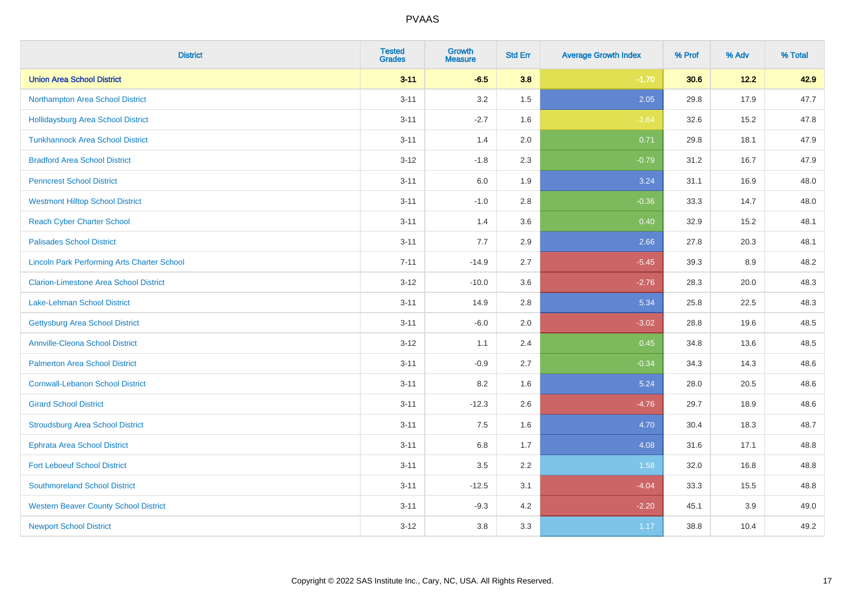| <b>District</b>                                    | <b>Tested</b><br><b>Grades</b> | <b>Growth</b><br><b>Measure</b> | <b>Std Err</b> | <b>Average Growth Index</b> | % Prof | % Adv | % Total |
|----------------------------------------------------|--------------------------------|---------------------------------|----------------|-----------------------------|--------|-------|---------|
| <b>Union Area School District</b>                  | $3 - 11$                       | $-6.5$                          | 3.8            | $-1.70$                     | 30.6   | 12.2  | 42.9    |
| Northampton Area School District                   | $3 - 11$                       | 3.2                             | 1.5            | 2.05                        | 29.8   | 17.9  | 47.7    |
| <b>Hollidaysburg Area School District</b>          | $3 - 11$                       | $-2.7$                          | 1.6            | $-1.64$                     | 32.6   | 15.2  | 47.8    |
| <b>Tunkhannock Area School District</b>            | $3 - 11$                       | 1.4                             | 2.0            | 0.71                        | 29.8   | 18.1  | 47.9    |
| <b>Bradford Area School District</b>               | $3 - 12$                       | $-1.8$                          | 2.3            | $-0.79$                     | 31.2   | 16.7  | 47.9    |
| <b>Penncrest School District</b>                   | $3 - 11$                       | 6.0                             | 1.9            | 3.24                        | 31.1   | 16.9  | 48.0    |
| <b>Westmont Hilltop School District</b>            | $3 - 11$                       | $-1.0$                          | 2.8            | $-0.36$                     | 33.3   | 14.7  | 48.0    |
| <b>Reach Cyber Charter School</b>                  | $3 - 11$                       | 1.4                             | 3.6            | 0.40                        | 32.9   | 15.2  | 48.1    |
| <b>Palisades School District</b>                   | $3 - 11$                       | 7.7                             | 2.9            | 2.66                        | 27.8   | 20.3  | 48.1    |
| <b>Lincoln Park Performing Arts Charter School</b> | $7 - 11$                       | $-14.9$                         | 2.7            | $-5.45$                     | 39.3   | 8.9   | 48.2    |
| <b>Clarion-Limestone Area School District</b>      | $3 - 12$                       | $-10.0$                         | 3.6            | $-2.76$                     | 28.3   | 20.0  | 48.3    |
| <b>Lake-Lehman School District</b>                 | $3 - 11$                       | 14.9                            | 2.8            | 5.34                        | 25.8   | 22.5  | 48.3    |
| <b>Gettysburg Area School District</b>             | $3 - 11$                       | $-6.0$                          | 2.0            | $-3.02$                     | 28.8   | 19.6  | 48.5    |
| <b>Annville-Cleona School District</b>             | $3 - 12$                       | 1.1                             | 2.4            | 0.45                        | 34.8   | 13.6  | 48.5    |
| <b>Palmerton Area School District</b>              | $3 - 11$                       | $-0.9$                          | 2.7            | $-0.34$                     | 34.3   | 14.3  | 48.6    |
| <b>Cornwall-Lebanon School District</b>            | $3 - 11$                       | 8.2                             | 1.6            | 5.24                        | 28.0   | 20.5  | 48.6    |
| <b>Girard School District</b>                      | $3 - 11$                       | $-12.3$                         | 2.6            | $-4.76$                     | 29.7   | 18.9  | 48.6    |
| <b>Stroudsburg Area School District</b>            | $3 - 11$                       | 7.5                             | 1.6            | 4.70                        | 30.4   | 18.3  | 48.7    |
| <b>Ephrata Area School District</b>                | $3 - 11$                       | $6.8\,$                         | 1.7            | 4.08                        | 31.6   | 17.1  | 48.8    |
| <b>Fort Leboeuf School District</b>                | $3 - 11$                       | 3.5                             | 2.2            | 1.58                        | 32.0   | 16.8  | 48.8    |
| <b>Southmoreland School District</b>               | $3 - 11$                       | $-12.5$                         | 3.1            | $-4.04$                     | 33.3   | 15.5  | 48.8    |
| <b>Western Beaver County School District</b>       | $3 - 11$                       | $-9.3$                          | 4.2            | $-2.20$                     | 45.1   | 3.9   | 49.0    |
| <b>Newport School District</b>                     | $3 - 12$                       | 3.8                             | 3.3            | 1.17                        | 38.8   | 10.4  | 49.2    |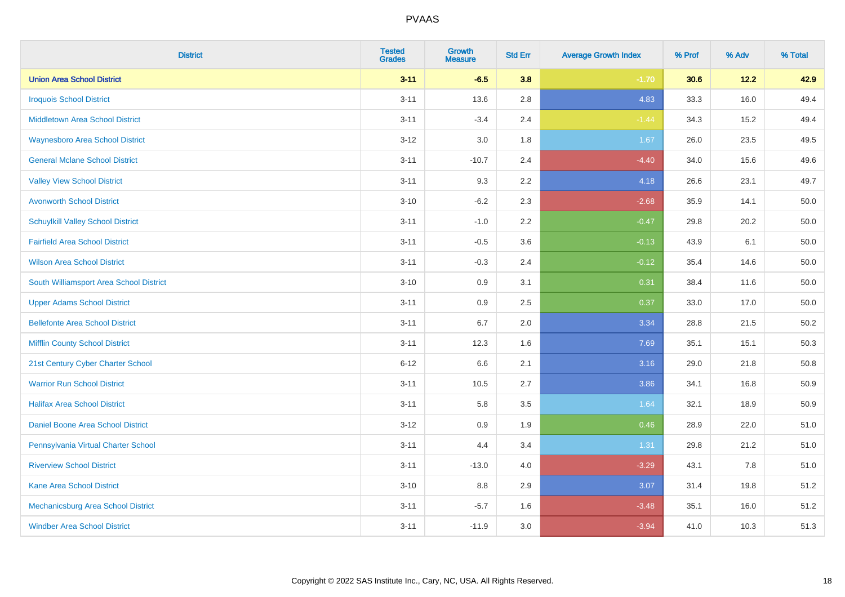| <b>District</b>                          | <b>Tested</b><br><b>Grades</b> | Growth<br><b>Measure</b> | <b>Std Err</b> | <b>Average Growth Index</b> | % Prof | % Adv | % Total  |
|------------------------------------------|--------------------------------|--------------------------|----------------|-----------------------------|--------|-------|----------|
| <b>Union Area School District</b>        | $3 - 11$                       | $-6.5$                   | 3.8            | $-1.70$                     | 30.6   | 12.2  | 42.9     |
| <b>Iroquois School District</b>          | $3 - 11$                       | 13.6                     | 2.8            | 4.83                        | 33.3   | 16.0  | 49.4     |
| <b>Middletown Area School District</b>   | $3 - 11$                       | $-3.4$                   | 2.4            | $-1.44$                     | 34.3   | 15.2  | 49.4     |
| <b>Waynesboro Area School District</b>   | $3 - 12$                       | 3.0                      | 1.8            | 1.67                        | 26.0   | 23.5  | 49.5     |
| <b>General Mclane School District</b>    | $3 - 11$                       | $-10.7$                  | 2.4            | $-4.40$                     | 34.0   | 15.6  | 49.6     |
| <b>Valley View School District</b>       | $3 - 11$                       | 9.3                      | 2.2            | 4.18                        | 26.6   | 23.1  | 49.7     |
| <b>Avonworth School District</b>         | $3 - 10$                       | $-6.2$                   | 2.3            | $-2.68$                     | 35.9   | 14.1  | 50.0     |
| <b>Schuylkill Valley School District</b> | $3 - 11$                       | $-1.0$                   | 2.2            | $-0.47$                     | 29.8   | 20.2  | 50.0     |
| <b>Fairfield Area School District</b>    | $3 - 11$                       | $-0.5$                   | 3.6            | $-0.13$                     | 43.9   | 6.1   | 50.0     |
| <b>Wilson Area School District</b>       | $3 - 11$                       | $-0.3$                   | 2.4            | $-0.12$                     | 35.4   | 14.6  | $50.0\,$ |
| South Williamsport Area School District  | $3 - 10$                       | 0.9                      | 3.1            | 0.31                        | 38.4   | 11.6  | 50.0     |
| <b>Upper Adams School District</b>       | $3 - 11$                       | 0.9                      | 2.5            | 0.37                        | 33.0   | 17.0  | $50.0\,$ |
| <b>Bellefonte Area School District</b>   | $3 - 11$                       | 6.7                      | 2.0            | 3.34                        | 28.8   | 21.5  | 50.2     |
| <b>Mifflin County School District</b>    | $3 - 11$                       | 12.3                     | 1.6            | 7.69                        | 35.1   | 15.1  | 50.3     |
| 21st Century Cyber Charter School        | $6 - 12$                       | 6.6                      | 2.1            | 3.16                        | 29.0   | 21.8  | 50.8     |
| <b>Warrior Run School District</b>       | $3 - 11$                       | 10.5                     | 2.7            | 3.86                        | 34.1   | 16.8  | 50.9     |
| <b>Halifax Area School District</b>      | $3 - 11$                       | 5.8                      | 3.5            | 1.64                        | 32.1   | 18.9  | 50.9     |
| Daniel Boone Area School District        | $3 - 12$                       | 0.9                      | 1.9            | 0.46                        | 28.9   | 22.0  | 51.0     |
| Pennsylvania Virtual Charter School      | $3 - 11$                       | 4.4                      | 3.4            | 1.31                        | 29.8   | 21.2  | 51.0     |
| <b>Riverview School District</b>         | $3 - 11$                       | $-13.0$                  | 4.0            | $-3.29$                     | 43.1   | 7.8   | 51.0     |
| Kane Area School District                | $3 - 10$                       | 8.8                      | 2.9            | 3.07                        | 31.4   | 19.8  | 51.2     |
| Mechanicsburg Area School District       | $3 - 11$                       | $-5.7$                   | 1.6            | $-3.48$                     | 35.1   | 16.0  | 51.2     |
| <b>Windber Area School District</b>      | $3 - 11$                       | $-11.9$                  | 3.0            | $-3.94$                     | 41.0   | 10.3  | 51.3     |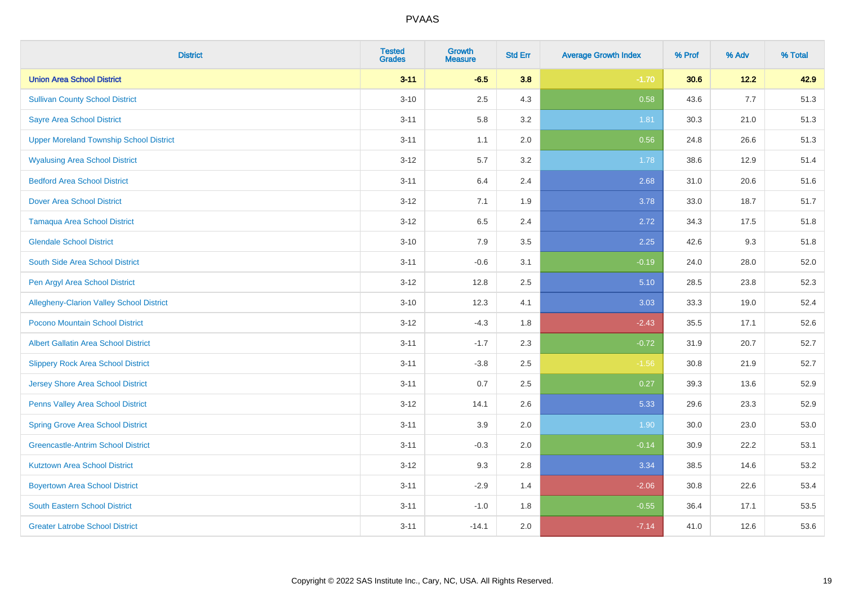| <b>District</b>                                 | <b>Tested</b><br><b>Grades</b> | <b>Growth</b><br><b>Measure</b> | <b>Std Err</b> | <b>Average Growth Index</b> | % Prof | % Adv | % Total |
|-------------------------------------------------|--------------------------------|---------------------------------|----------------|-----------------------------|--------|-------|---------|
| <b>Union Area School District</b>               | $3 - 11$                       | $-6.5$                          | 3.8            | $-1.70$                     | 30.6   | 12.2  | 42.9    |
| <b>Sullivan County School District</b>          | $3 - 10$                       | 2.5                             | 4.3            | 0.58                        | 43.6   | 7.7   | 51.3    |
| <b>Sayre Area School District</b>               | $3 - 11$                       | 5.8                             | 3.2            | 1.81                        | 30.3   | 21.0  | 51.3    |
| <b>Upper Moreland Township School District</b>  | $3 - 11$                       | 1.1                             | 2.0            | 0.56                        | 24.8   | 26.6  | 51.3    |
| <b>Wyalusing Area School District</b>           | $3-12$                         | 5.7                             | 3.2            | 1.78                        | 38.6   | 12.9  | 51.4    |
| <b>Bedford Area School District</b>             | $3 - 11$                       | 6.4                             | 2.4            | 2.68                        | 31.0   | 20.6  | 51.6    |
| <b>Dover Area School District</b>               | $3 - 12$                       | 7.1                             | 1.9            | 3.78                        | 33.0   | 18.7  | 51.7    |
| <b>Tamaqua Area School District</b>             | $3-12$                         | 6.5                             | 2.4            | 2.72                        | 34.3   | 17.5  | 51.8    |
| <b>Glendale School District</b>                 | $3 - 10$                       | 7.9                             | 3.5            | 2.25                        | 42.6   | 9.3   | 51.8    |
| South Side Area School District                 | $3 - 11$                       | $-0.6$                          | 3.1            | $-0.19$                     | 24.0   | 28.0  | 52.0    |
| Pen Argyl Area School District                  | $3 - 12$                       | 12.8                            | 2.5            | 5.10                        | 28.5   | 23.8  | 52.3    |
| <b>Allegheny-Clarion Valley School District</b> | $3 - 10$                       | 12.3                            | 4.1            | 3.03                        | 33.3   | 19.0  | 52.4    |
| Pocono Mountain School District                 | $3-12$                         | $-4.3$                          | 1.8            | $-2.43$                     | 35.5   | 17.1  | 52.6    |
| <b>Albert Gallatin Area School District</b>     | $3 - 11$                       | $-1.7$                          | 2.3            | $-0.72$                     | 31.9   | 20.7  | 52.7    |
| <b>Slippery Rock Area School District</b>       | $3 - 11$                       | $-3.8$                          | 2.5            | $-1.56$                     | 30.8   | 21.9  | 52.7    |
| <b>Jersey Shore Area School District</b>        | $3 - 11$                       | 0.7                             | 2.5            | 0.27                        | 39.3   | 13.6  | 52.9    |
| Penns Valley Area School District               | $3 - 12$                       | 14.1                            | 2.6            | 5.33                        | 29.6   | 23.3  | 52.9    |
| <b>Spring Grove Area School District</b>        | $3 - 11$                       | 3.9                             | 2.0            | 1.90                        | 30.0   | 23.0  | 53.0    |
| <b>Greencastle-Antrim School District</b>       | $3 - 11$                       | $-0.3$                          | 2.0            | $-0.14$                     | 30.9   | 22.2  | 53.1    |
| <b>Kutztown Area School District</b>            | $3-12$                         | 9.3                             | 2.8            | 3.34                        | 38.5   | 14.6  | 53.2    |
| <b>Boyertown Area School District</b>           | $3 - 11$                       | $-2.9$                          | 1.4            | $-2.06$                     | 30.8   | 22.6  | 53.4    |
| <b>South Eastern School District</b>            | $3 - 11$                       | $-1.0$                          | 1.8            | $-0.55$                     | 36.4   | 17.1  | 53.5    |
| <b>Greater Latrobe School District</b>          | $3 - 11$                       | $-14.1$                         | 2.0            | $-7.14$                     | 41.0   | 12.6  | 53.6    |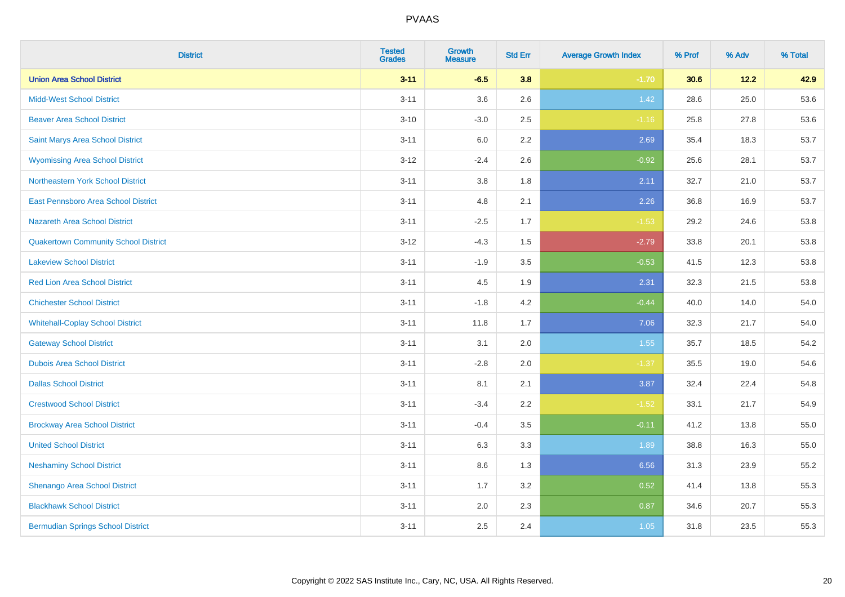| <b>District</b>                             | <b>Tested</b><br><b>Grades</b> | <b>Growth</b><br><b>Measure</b> | <b>Std Err</b> | <b>Average Growth Index</b> | % Prof | % Adv | % Total |
|---------------------------------------------|--------------------------------|---------------------------------|----------------|-----------------------------|--------|-------|---------|
| <b>Union Area School District</b>           | $3 - 11$                       | $-6.5$                          | 3.8            | $-1.70$                     | 30.6   | 12.2  | 42.9    |
| <b>Midd-West School District</b>            | $3 - 11$                       | 3.6                             | 2.6            | $1.42$                      | 28.6   | 25.0  | 53.6    |
| <b>Beaver Area School District</b>          | $3 - 10$                       | $-3.0$                          | 2.5            | $-1.16$                     | 25.8   | 27.8  | 53.6    |
| Saint Marys Area School District            | $3 - 11$                       | $6.0\,$                         | 2.2            | 2.69                        | 35.4   | 18.3  | 53.7    |
| <b>Wyomissing Area School District</b>      | $3 - 12$                       | $-2.4$                          | 2.6            | $-0.92$                     | 25.6   | 28.1  | 53.7    |
| Northeastern York School District           | $3 - 11$                       | $3.8\,$                         | 1.8            | 2.11                        | 32.7   | 21.0  | 53.7    |
| East Pennsboro Area School District         | $3 - 11$                       | 4.8                             | 2.1            | 2.26                        | 36.8   | 16.9  | 53.7    |
| <b>Nazareth Area School District</b>        | $3 - 11$                       | $-2.5$                          | 1.7            | $-1.53$                     | 29.2   | 24.6  | 53.8    |
| <b>Quakertown Community School District</b> | $3-12$                         | $-4.3$                          | 1.5            | $-2.79$                     | 33.8   | 20.1  | 53.8    |
| <b>Lakeview School District</b>             | $3 - 11$                       | $-1.9$                          | 3.5            | $-0.53$                     | 41.5   | 12.3  | 53.8    |
| <b>Red Lion Area School District</b>        | $3 - 11$                       | 4.5                             | 1.9            | 2.31                        | 32.3   | 21.5  | 53.8    |
| <b>Chichester School District</b>           | $3 - 11$                       | $-1.8$                          | 4.2            | $-0.44$                     | 40.0   | 14.0  | 54.0    |
| <b>Whitehall-Coplay School District</b>     | $3 - 11$                       | 11.8                            | 1.7            | 7.06                        | 32.3   | 21.7  | 54.0    |
| <b>Gateway School District</b>              | $3 - 11$                       | 3.1                             | 2.0            | 1.55                        | 35.7   | 18.5  | 54.2    |
| <b>Dubois Area School District</b>          | $3 - 11$                       | $-2.8$                          | 2.0            | $-1.37$                     | 35.5   | 19.0  | 54.6    |
| <b>Dallas School District</b>               | $3 - 11$                       | 8.1                             | 2.1            | 3.87                        | 32.4   | 22.4  | 54.8    |
| <b>Crestwood School District</b>            | $3 - 11$                       | $-3.4$                          | 2.2            | $-1.52$                     | 33.1   | 21.7  | 54.9    |
| <b>Brockway Area School District</b>        | $3 - 11$                       | $-0.4$                          | 3.5            | $-0.11$                     | 41.2   | 13.8  | 55.0    |
| <b>United School District</b>               | $3 - 11$                       | 6.3                             | 3.3            | 1.89                        | 38.8   | 16.3  | 55.0    |
| <b>Neshaminy School District</b>            | $3 - 11$                       | 8.6                             | 1.3            | 6.56                        | 31.3   | 23.9  | 55.2    |
| Shenango Area School District               | $3 - 11$                       | 1.7                             | 3.2            | 0.52                        | 41.4   | 13.8  | 55.3    |
| <b>Blackhawk School District</b>            | $3 - 11$                       | 2.0                             | 2.3            | 0.87                        | 34.6   | 20.7  | 55.3    |
| <b>Bermudian Springs School District</b>    | $3 - 11$                       | 2.5                             | 2.4            | 1.05                        | 31.8   | 23.5  | 55.3    |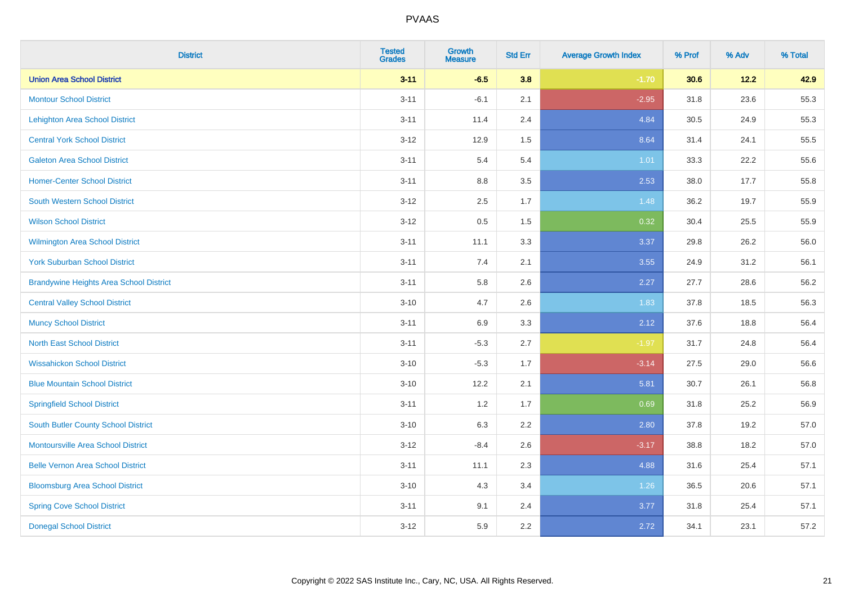| <b>District</b>                                | <b>Tested</b><br><b>Grades</b> | <b>Growth</b><br><b>Measure</b> | <b>Std Err</b> | <b>Average Growth Index</b> | % Prof | % Adv  | % Total |
|------------------------------------------------|--------------------------------|---------------------------------|----------------|-----------------------------|--------|--------|---------|
| <b>Union Area School District</b>              | $3 - 11$                       | $-6.5$                          | 3.8            | $-1.70$                     | 30.6   | $12.2$ | 42.9    |
| <b>Montour School District</b>                 | $3 - 11$                       | $-6.1$                          | 2.1            | $-2.95$                     | 31.8   | 23.6   | 55.3    |
| <b>Lehighton Area School District</b>          | $3 - 11$                       | 11.4                            | 2.4            | 4.84                        | 30.5   | 24.9   | 55.3    |
| <b>Central York School District</b>            | $3 - 12$                       | 12.9                            | 1.5            | 8.64                        | 31.4   | 24.1   | 55.5    |
| <b>Galeton Area School District</b>            | $3 - 11$                       | 5.4                             | 5.4            | 1.01                        | 33.3   | 22.2   | 55.6    |
| <b>Homer-Center School District</b>            | $3 - 11$                       | 8.8                             | 3.5            | 2.53                        | 38.0   | 17.7   | 55.8    |
| <b>South Western School District</b>           | $3 - 12$                       | 2.5                             | 1.7            | 1.48                        | 36.2   | 19.7   | 55.9    |
| <b>Wilson School District</b>                  | $3 - 12$                       | $0.5\,$                         | 1.5            | 0.32                        | 30.4   | 25.5   | 55.9    |
| <b>Wilmington Area School District</b>         | $3 - 11$                       | 11.1                            | 3.3            | 3.37                        | 29.8   | 26.2   | 56.0    |
| <b>York Suburban School District</b>           | $3 - 11$                       | 7.4                             | 2.1            | 3.55                        | 24.9   | 31.2   | 56.1    |
| <b>Brandywine Heights Area School District</b> | $3 - 11$                       | 5.8                             | 2.6            | 2.27                        | 27.7   | 28.6   | 56.2    |
| <b>Central Valley School District</b>          | $3 - 10$                       | 4.7                             | 2.6            | 1.83                        | 37.8   | 18.5   | 56.3    |
| <b>Muncy School District</b>                   | $3 - 11$                       | 6.9                             | 3.3            | 2.12                        | 37.6   | 18.8   | 56.4    |
| <b>North East School District</b>              | $3 - 11$                       | $-5.3$                          | 2.7            | $-1.97$                     | 31.7   | 24.8   | 56.4    |
| <b>Wissahickon School District</b>             | $3 - 10$                       | $-5.3$                          | 1.7            | $-3.14$                     | 27.5   | 29.0   | 56.6    |
| <b>Blue Mountain School District</b>           | $3 - 10$                       | 12.2                            | 2.1            | 5.81                        | 30.7   | 26.1   | 56.8    |
| <b>Springfield School District</b>             | $3 - 11$                       | 1.2                             | 1.7            | 0.69                        | 31.8   | 25.2   | 56.9    |
| <b>South Butler County School District</b>     | $3 - 10$                       | 6.3                             | 2.2            | 2.80                        | 37.8   | 19.2   | 57.0    |
| <b>Montoursville Area School District</b>      | $3 - 12$                       | $-8.4$                          | 2.6            | $-3.17$                     | 38.8   | 18.2   | 57.0    |
| <b>Belle Vernon Area School District</b>       | $3 - 11$                       | 11.1                            | 2.3            | 4.88                        | 31.6   | 25.4   | 57.1    |
| <b>Bloomsburg Area School District</b>         | $3 - 10$                       | 4.3                             | 3.4            | 1.26                        | 36.5   | 20.6   | 57.1    |
| <b>Spring Cove School District</b>             | $3 - 11$                       | 9.1                             | 2.4            | 3.77                        | 31.8   | 25.4   | 57.1    |
| <b>Donegal School District</b>                 | $3 - 12$                       | 5.9                             | 2.2            | 2.72                        | 34.1   | 23.1   | 57.2    |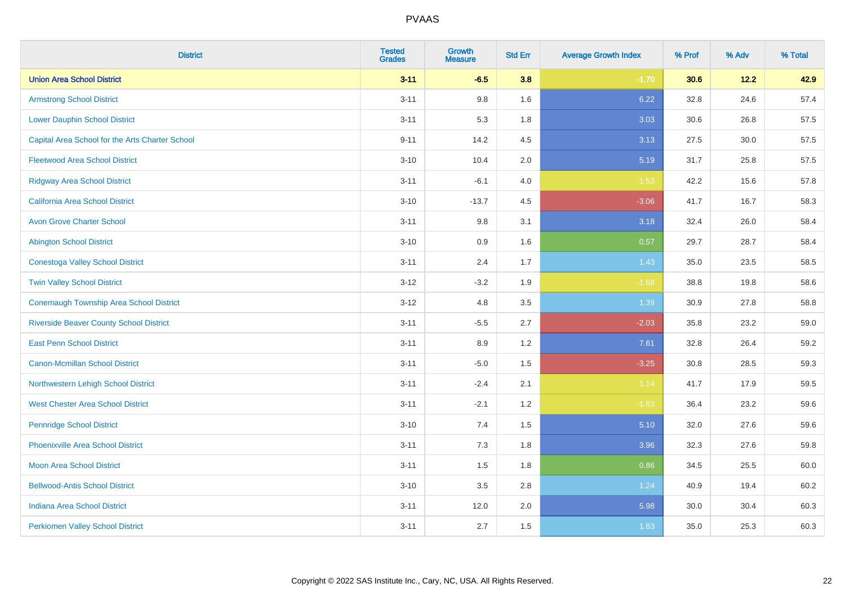| <b>District</b>                                 | <b>Tested</b><br><b>Grades</b> | <b>Growth</b><br><b>Measure</b> | <b>Std Err</b> | <b>Average Growth Index</b> | % Prof | % Adv | % Total |
|-------------------------------------------------|--------------------------------|---------------------------------|----------------|-----------------------------|--------|-------|---------|
| <b>Union Area School District</b>               | $3 - 11$                       | $-6.5$                          | 3.8            | $-1.70$                     | 30.6   | 12.2  | 42.9    |
| <b>Armstrong School District</b>                | $3 - 11$                       | 9.8                             | 1.6            | 6.22                        | 32.8   | 24.6  | 57.4    |
| <b>Lower Dauphin School District</b>            | $3 - 11$                       | 5.3                             | 1.8            | 3.03                        | 30.6   | 26.8  | 57.5    |
| Capital Area School for the Arts Charter School | $9 - 11$                       | 14.2                            | 4.5            | 3.13                        | 27.5   | 30.0  | 57.5    |
| <b>Fleetwood Area School District</b>           | $3 - 10$                       | 10.4                            | 2.0            | 5.19                        | 31.7   | 25.8  | 57.5    |
| <b>Ridgway Area School District</b>             | $3 - 11$                       | $-6.1$                          | 4.0            | $-1.53$                     | 42.2   | 15.6  | 57.8    |
| California Area School District                 | $3 - 10$                       | $-13.7$                         | 4.5            | $-3.06$                     | 41.7   | 16.7  | 58.3    |
| <b>Avon Grove Charter School</b>                | $3 - 11$                       | 9.8                             | 3.1            | 3.18                        | 32.4   | 26.0  | 58.4    |
| <b>Abington School District</b>                 | $3 - 10$                       | 0.9                             | 1.6            | 0.57                        | 29.7   | 28.7  | 58.4    |
| <b>Conestoga Valley School District</b>         | $3 - 11$                       | 2.4                             | 1.7            | 1.43                        | 35.0   | 23.5  | 58.5    |
| <b>Twin Valley School District</b>              | $3 - 12$                       | $-3.2$                          | 1.9            | $-1.68$                     | 38.8   | 19.8  | 58.6    |
| <b>Conemaugh Township Area School District</b>  | $3 - 12$                       | 4.8                             | 3.5            | 1.39                        | 30.9   | 27.8  | 58.8    |
| <b>Riverside Beaver County School District</b>  | $3 - 11$                       | $-5.5$                          | 2.7            | $-2.03$                     | 35.8   | 23.2  | 59.0    |
| <b>East Penn School District</b>                | $3 - 11$                       | 8.9                             | 1.2            | 7.61                        | 32.8   | 26.4  | 59.2    |
| <b>Canon-Mcmillan School District</b>           | $3 - 11$                       | $-5.0$                          | 1.5            | $-3.25$                     | 30.8   | 28.5  | 59.3    |
| Northwestern Lehigh School District             | $3 - 11$                       | $-2.4$                          | 2.1            | $-1.14$                     | 41.7   | 17.9  | 59.5    |
| <b>West Chester Area School District</b>        | $3 - 11$                       | $-2.1$                          | 1.2            | $-1.83$                     | 36.4   | 23.2  | 59.6    |
| <b>Pennridge School District</b>                | $3 - 10$                       | 7.4                             | 1.5            | 5.10                        | 32.0   | 27.6  | 59.6    |
| <b>Phoenixville Area School District</b>        | $3 - 11$                       | 7.3                             | 1.8            | 3.96                        | 32.3   | 27.6  | 59.8    |
| <b>Moon Area School District</b>                | $3 - 11$                       | 1.5                             | 1.8            | 0.86                        | 34.5   | 25.5  | 60.0    |
| <b>Bellwood-Antis School District</b>           | $3 - 10$                       | 3.5                             | 2.8            | 1.24                        | 40.9   | 19.4  | 60.2    |
| <b>Indiana Area School District</b>             | $3 - 11$                       | 12.0                            | 2.0            | 5.98                        | 30.0   | 30.4  | 60.3    |
| <b>Perkiomen Valley School District</b>         | $3 - 11$                       | 2.7                             | 1.5            | 1.83                        | 35.0   | 25.3  | 60.3    |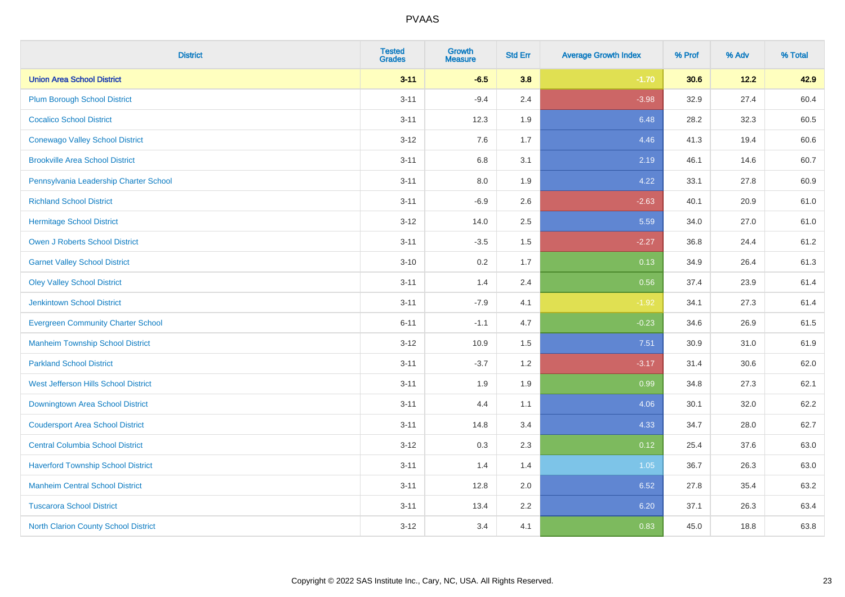| <b>District</b>                             | <b>Tested</b><br><b>Grades</b> | <b>Growth</b><br><b>Measure</b> | <b>Std Err</b> | <b>Average Growth Index</b> | % Prof | % Adv | % Total |
|---------------------------------------------|--------------------------------|---------------------------------|----------------|-----------------------------|--------|-------|---------|
| <b>Union Area School District</b>           | $3 - 11$                       | $-6.5$                          | 3.8            | $-1.70$                     | 30.6   | 12.2  | 42.9    |
| <b>Plum Borough School District</b>         | $3 - 11$                       | $-9.4$                          | 2.4            | $-3.98$                     | 32.9   | 27.4  | 60.4    |
| <b>Cocalico School District</b>             | $3 - 11$                       | 12.3                            | 1.9            | 6.48                        | 28.2   | 32.3  | 60.5    |
| <b>Conewago Valley School District</b>      | $3-12$                         | 7.6                             | 1.7            | 4.46                        | 41.3   | 19.4  | 60.6    |
| <b>Brookville Area School District</b>      | $3 - 11$                       | 6.8                             | 3.1            | 2.19                        | 46.1   | 14.6  | 60.7    |
| Pennsylvania Leadership Charter School      | $3 - 11$                       | 8.0                             | 1.9            | 4.22                        | 33.1   | 27.8  | 60.9    |
| <b>Richland School District</b>             | $3 - 11$                       | $-6.9$                          | 2.6            | $-2.63$                     | 40.1   | 20.9  | 61.0    |
| <b>Hermitage School District</b>            | $3-12$                         | 14.0                            | 2.5            | 5.59                        | 34.0   | 27.0  | 61.0    |
| <b>Owen J Roberts School District</b>       | $3 - 11$                       | $-3.5$                          | 1.5            | $-2.27$                     | 36.8   | 24.4  | 61.2    |
| <b>Garnet Valley School District</b>        | $3 - 10$                       | 0.2                             | 1.7            | 0.13                        | 34.9   | 26.4  | 61.3    |
| <b>Oley Valley School District</b>          | $3 - 11$                       | 1.4                             | 2.4            | 0.56                        | 37.4   | 23.9  | 61.4    |
| <b>Jenkintown School District</b>           | $3 - 11$                       | $-7.9$                          | 4.1            | $-1.92$                     | 34.1   | 27.3  | 61.4    |
| <b>Evergreen Community Charter School</b>   | $6 - 11$                       | $-1.1$                          | 4.7            | $-0.23$                     | 34.6   | 26.9  | 61.5    |
| <b>Manheim Township School District</b>     | $3 - 12$                       | 10.9                            | 1.5            | 7.51                        | 30.9   | 31.0  | 61.9    |
| <b>Parkland School District</b>             | $3 - 11$                       | $-3.7$                          | 1.2            | $-3.17$                     | 31.4   | 30.6  | 62.0    |
| West Jefferson Hills School District        | $3 - 11$                       | 1.9                             | 1.9            | 0.99                        | 34.8   | 27.3  | 62.1    |
| <b>Downingtown Area School District</b>     | $3 - 11$                       | 4.4                             | 1.1            | 4.06                        | 30.1   | 32.0  | 62.2    |
| <b>Coudersport Area School District</b>     | $3 - 11$                       | 14.8                            | 3.4            | 4.33                        | 34.7   | 28.0  | 62.7    |
| <b>Central Columbia School District</b>     | $3 - 12$                       | 0.3                             | 2.3            | 0.12                        | 25.4   | 37.6  | 63.0    |
| <b>Haverford Township School District</b>   | $3 - 11$                       | 1.4                             | 1.4            | 1.05                        | 36.7   | 26.3  | 63.0    |
| <b>Manheim Central School District</b>      | $3 - 11$                       | 12.8                            | 2.0            | 6.52                        | 27.8   | 35.4  | 63.2    |
| <b>Tuscarora School District</b>            | $3 - 11$                       | 13.4                            | 2.2            | 6.20                        | 37.1   | 26.3  | 63.4    |
| <b>North Clarion County School District</b> | $3 - 12$                       | 3.4                             | 4.1            | 0.83                        | 45.0   | 18.8  | 63.8    |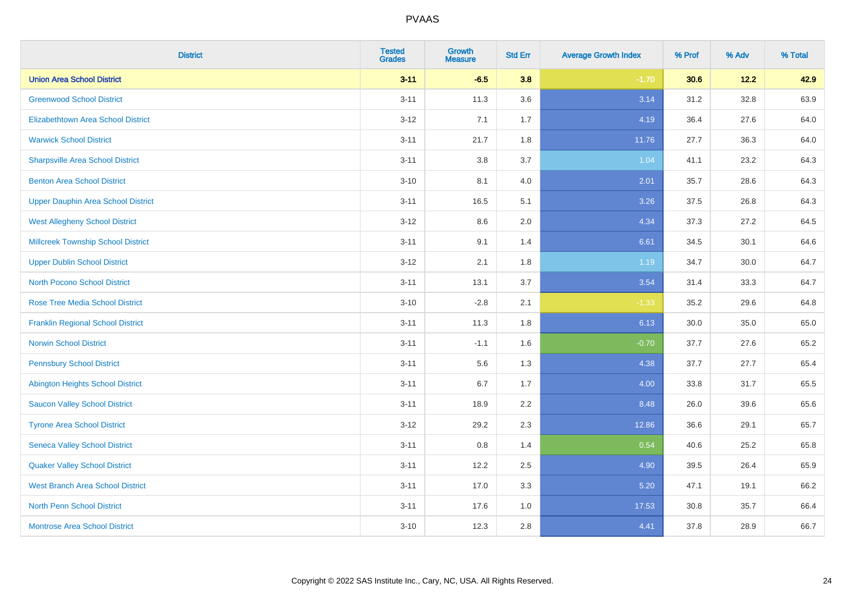| <b>District</b>                           | <b>Tested</b><br><b>Grades</b> | <b>Growth</b><br><b>Measure</b> | <b>Std Err</b> | <b>Average Growth Index</b> | % Prof | % Adv    | % Total |
|-------------------------------------------|--------------------------------|---------------------------------|----------------|-----------------------------|--------|----------|---------|
| <b>Union Area School District</b>         | $3 - 11$                       | $-6.5$                          | 3.8            | $-1.70$                     | 30.6   | 12.2     | 42.9    |
| <b>Greenwood School District</b>          | $3 - 11$                       | 11.3                            | 3.6            | 3.14                        | 31.2   | 32.8     | 63.9    |
| <b>Elizabethtown Area School District</b> | $3 - 12$                       | 7.1                             | 1.7            | 4.19                        | 36.4   | 27.6     | 64.0    |
| <b>Warwick School District</b>            | $3 - 11$                       | 21.7                            | 1.8            | 11.76                       | 27.7   | 36.3     | 64.0    |
| <b>Sharpsville Area School District</b>   | $3 - 11$                       | 3.8                             | 3.7            | 1.04                        | 41.1   | 23.2     | 64.3    |
| <b>Benton Area School District</b>        | $3 - 10$                       | 8.1                             | 4.0            | 2.01                        | 35.7   | 28.6     | 64.3    |
| <b>Upper Dauphin Area School District</b> | $3 - 11$                       | 16.5                            | 5.1            | 3.26                        | 37.5   | 26.8     | 64.3    |
| <b>West Allegheny School District</b>     | $3 - 12$                       | 8.6                             | 2.0            | 4.34                        | 37.3   | 27.2     | 64.5    |
| <b>Millcreek Township School District</b> | $3 - 11$                       | 9.1                             | 1.4            | 6.61                        | 34.5   | 30.1     | 64.6    |
| <b>Upper Dublin School District</b>       | $3 - 12$                       | 2.1                             | 1.8            | 1.19                        | 34.7   | $30.0\,$ | 64.7    |
| <b>North Pocono School District</b>       | $3 - 11$                       | 13.1                            | 3.7            | 3.54                        | 31.4   | 33.3     | 64.7    |
| <b>Rose Tree Media School District</b>    | $3 - 10$                       | $-2.8$                          | 2.1            | $-1.33$                     | 35.2   | 29.6     | 64.8    |
| <b>Franklin Regional School District</b>  | $3 - 11$                       | 11.3                            | 1.8            | 6.13                        | 30.0   | 35.0     | 65.0    |
| <b>Norwin School District</b>             | $3 - 11$                       | $-1.1$                          | 1.6            | $-0.70$                     | 37.7   | 27.6     | 65.2    |
| <b>Pennsbury School District</b>          | $3 - 11$                       | 5.6                             | 1.3            | 4.38                        | 37.7   | 27.7     | 65.4    |
| <b>Abington Heights School District</b>   | $3 - 11$                       | 6.7                             | 1.7            | 4.00                        | 33.8   | 31.7     | 65.5    |
| <b>Saucon Valley School District</b>      | $3 - 11$                       | 18.9                            | 2.2            | 8.48                        | 26.0   | 39.6     | 65.6    |
| <b>Tyrone Area School District</b>        | $3 - 12$                       | 29.2                            | 2.3            | 12.86                       | 36.6   | 29.1     | 65.7    |
| <b>Seneca Valley School District</b>      | $3 - 11$                       | 0.8                             | 1.4            | 0.54                        | 40.6   | 25.2     | 65.8    |
| <b>Quaker Valley School District</b>      | $3 - 11$                       | 12.2                            | 2.5            | 4.90                        | 39.5   | 26.4     | 65.9    |
| <b>West Branch Area School District</b>   | $3 - 11$                       | 17.0                            | 3.3            | 5.20                        | 47.1   | 19.1     | 66.2    |
| <b>North Penn School District</b>         | $3 - 11$                       | 17.6                            | 1.0            | 17.53                       | 30.8   | 35.7     | 66.4    |
| <b>Montrose Area School District</b>      | $3 - 10$                       | 12.3                            | 2.8            | 4.41                        | 37.8   | 28.9     | 66.7    |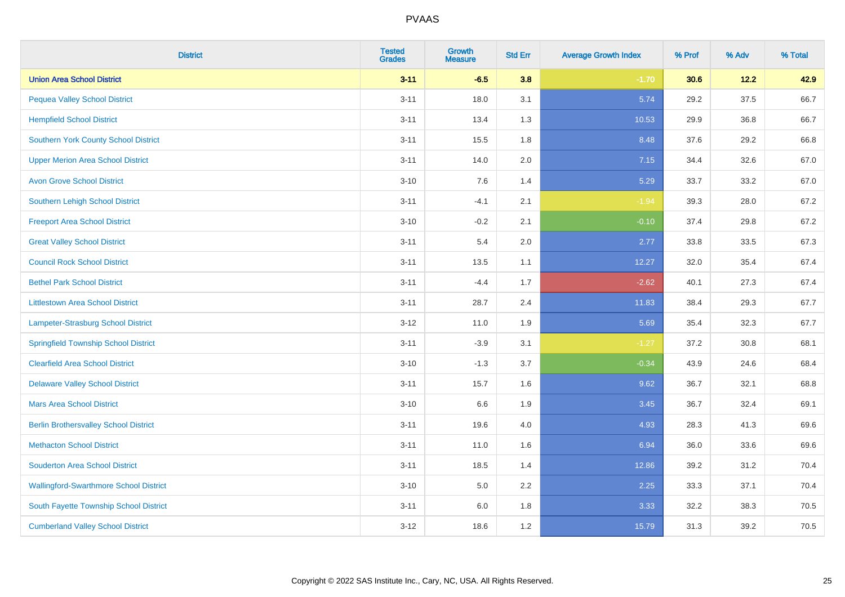| <b>District</b>                               | <b>Tested</b><br><b>Grades</b> | <b>Growth</b><br><b>Measure</b> | <b>Std Err</b> | <b>Average Growth Index</b> | % Prof | % Adv | % Total |
|-----------------------------------------------|--------------------------------|---------------------------------|----------------|-----------------------------|--------|-------|---------|
| <b>Union Area School District</b>             | $3 - 11$                       | $-6.5$                          | 3.8            | $-1.70$                     | 30.6   | 12.2  | 42.9    |
| <b>Pequea Valley School District</b>          | $3 - 11$                       | 18.0                            | 3.1            | 5.74                        | 29.2   | 37.5  | 66.7    |
| <b>Hempfield School District</b>              | $3 - 11$                       | 13.4                            | 1.3            | 10.53                       | 29.9   | 36.8  | 66.7    |
| <b>Southern York County School District</b>   | $3 - 11$                       | 15.5                            | 1.8            | 8.48                        | 37.6   | 29.2  | 66.8    |
| <b>Upper Merion Area School District</b>      | $3 - 11$                       | 14.0                            | 2.0            | 7.15                        | 34.4   | 32.6  | 67.0    |
| <b>Avon Grove School District</b>             | $3 - 10$                       | 7.6                             | 1.4            | 5.29                        | 33.7   | 33.2  | 67.0    |
| <b>Southern Lehigh School District</b>        | $3 - 11$                       | $-4.1$                          | 2.1            | $-1.94$                     | 39.3   | 28.0  | 67.2    |
| <b>Freeport Area School District</b>          | $3 - 10$                       | $-0.2$                          | 2.1            | $-0.10$                     | 37.4   | 29.8  | 67.2    |
| <b>Great Valley School District</b>           | $3 - 11$                       | 5.4                             | 2.0            | 2.77                        | 33.8   | 33.5  | 67.3    |
| <b>Council Rock School District</b>           | $3 - 11$                       | 13.5                            | 1.1            | 12.27                       | 32.0   | 35.4  | 67.4    |
| <b>Bethel Park School District</b>            | $3 - 11$                       | $-4.4$                          | 1.7            | $-2.62$                     | 40.1   | 27.3  | 67.4    |
| <b>Littlestown Area School District</b>       | $3 - 11$                       | 28.7                            | 2.4            | 11.83                       | 38.4   | 29.3  | 67.7    |
| Lampeter-Strasburg School District            | $3 - 12$                       | 11.0                            | 1.9            | 5.69                        | 35.4   | 32.3  | 67.7    |
| <b>Springfield Township School District</b>   | $3 - 11$                       | $-3.9$                          | 3.1            | $-1.27$                     | 37.2   | 30.8  | 68.1    |
| <b>Clearfield Area School District</b>        | $3 - 10$                       | $-1.3$                          | 3.7            | $-0.34$                     | 43.9   | 24.6  | 68.4    |
| <b>Delaware Valley School District</b>        | $3 - 11$                       | 15.7                            | 1.6            | 9.62                        | 36.7   | 32.1  | 68.8    |
| <b>Mars Area School District</b>              | $3 - 10$                       | 6.6                             | 1.9            | 3.45                        | 36.7   | 32.4  | 69.1    |
| <b>Berlin Brothersvalley School District</b>  | $3 - 11$                       | 19.6                            | 4.0            | 4.93                        | 28.3   | 41.3  | 69.6    |
| <b>Methacton School District</b>              | $3 - 11$                       | 11.0                            | 1.6            | 6.94                        | 36.0   | 33.6  | 69.6    |
| <b>Souderton Area School District</b>         | $3 - 11$                       | 18.5                            | 1.4            | 12.86                       | 39.2   | 31.2  | 70.4    |
| <b>Wallingford-Swarthmore School District</b> | $3 - 10$                       | 5.0                             | 2.2            | 2.25                        | 33.3   | 37.1  | 70.4    |
| South Fayette Township School District        | $3 - 11$                       | 6.0                             | 1.8            | 3.33                        | 32.2   | 38.3  | 70.5    |
| <b>Cumberland Valley School District</b>      | $3 - 12$                       | 18.6                            | 1.2            | 15.79                       | 31.3   | 39.2  | 70.5    |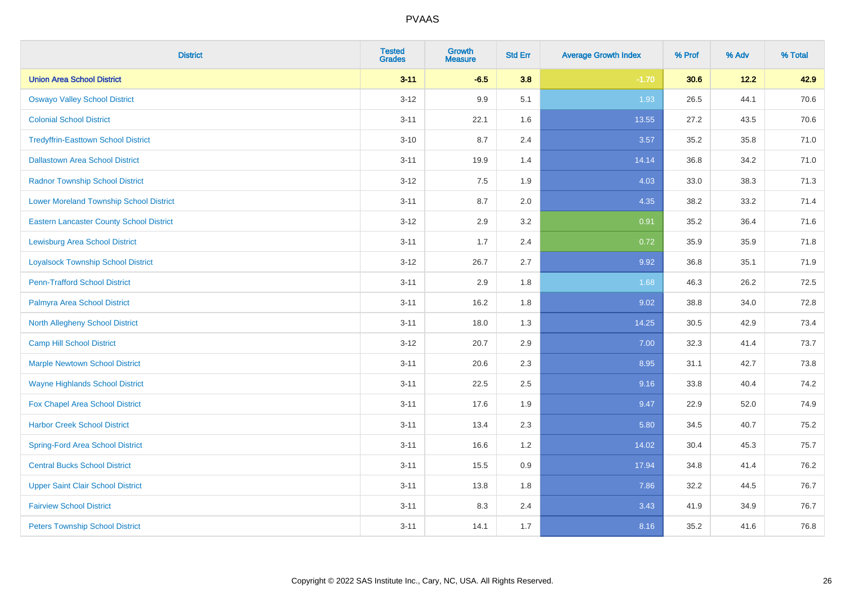| <b>District</b>                                 | <b>Tested</b><br><b>Grades</b> | <b>Growth</b><br><b>Measure</b> | <b>Std Err</b> | <b>Average Growth Index</b> | % Prof | % Adv | % Total |
|-------------------------------------------------|--------------------------------|---------------------------------|----------------|-----------------------------|--------|-------|---------|
| <b>Union Area School District</b>               | $3 - 11$                       | $-6.5$                          | 3.8            | $-1.70$                     | 30.6   | 12.2  | 42.9    |
| <b>Oswayo Valley School District</b>            | $3 - 12$                       | 9.9                             | 5.1            | 1.93                        | 26.5   | 44.1  | 70.6    |
| <b>Colonial School District</b>                 | $3 - 11$                       | 22.1                            | 1.6            | 13.55                       | 27.2   | 43.5  | 70.6    |
| <b>Tredyffrin-Easttown School District</b>      | $3 - 10$                       | 8.7                             | 2.4            | 3.57                        | 35.2   | 35.8  | 71.0    |
| <b>Dallastown Area School District</b>          | $3 - 11$                       | 19.9                            | 1.4            | 14.14                       | 36.8   | 34.2  | 71.0    |
| <b>Radnor Township School District</b>          | $3 - 12$                       | 7.5                             | 1.9            | 4.03                        | 33.0   | 38.3  | 71.3    |
| <b>Lower Moreland Township School District</b>  | $3 - 11$                       | 8.7                             | 2.0            | 4.35                        | 38.2   | 33.2  | 71.4    |
| <b>Eastern Lancaster County School District</b> | $3 - 12$                       | 2.9                             | 3.2            | 0.91                        | 35.2   | 36.4  | 71.6    |
| <b>Lewisburg Area School District</b>           | $3 - 11$                       | 1.7                             | 2.4            | 0.72                        | 35.9   | 35.9  | 71.8    |
| <b>Loyalsock Township School District</b>       | $3-12$                         | 26.7                            | 2.7            | 9.92                        | 36.8   | 35.1  | 71.9    |
| <b>Penn-Trafford School District</b>            | $3 - 11$                       | 2.9                             | 1.8            | 1.68                        | 46.3   | 26.2  | 72.5    |
| Palmyra Area School District                    | $3 - 11$                       | 16.2                            | 1.8            | 9.02                        | 38.8   | 34.0  | 72.8    |
| North Allegheny School District                 | $3 - 11$                       | 18.0                            | 1.3            | 14.25                       | 30.5   | 42.9  | 73.4    |
| <b>Camp Hill School District</b>                | $3 - 12$                       | 20.7                            | 2.9            | 7.00                        | 32.3   | 41.4  | 73.7    |
| <b>Marple Newtown School District</b>           | $3 - 11$                       | 20.6                            | 2.3            | 8.95                        | 31.1   | 42.7  | 73.8    |
| <b>Wayne Highlands School District</b>          | $3 - 11$                       | 22.5                            | 2.5            | 9.16                        | 33.8   | 40.4  | 74.2    |
| Fox Chapel Area School District                 | $3 - 11$                       | 17.6                            | 1.9            | 9.47                        | 22.9   | 52.0  | 74.9    |
| <b>Harbor Creek School District</b>             | $3 - 11$                       | 13.4                            | 2.3            | 5.80                        | 34.5   | 40.7  | 75.2    |
| <b>Spring-Ford Area School District</b>         | $3 - 11$                       | 16.6                            | 1.2            | 14.02                       | 30.4   | 45.3  | 75.7    |
| <b>Central Bucks School District</b>            | $3 - 11$                       | 15.5                            | 0.9            | 17.94                       | 34.8   | 41.4  | 76.2    |
| <b>Upper Saint Clair School District</b>        | $3 - 11$                       | 13.8                            | 1.8            | 7.86                        | 32.2   | 44.5  | 76.7    |
| <b>Fairview School District</b>                 | $3 - 11$                       | 8.3                             | 2.4            | 3.43                        | 41.9   | 34.9  | 76.7    |
| <b>Peters Township School District</b>          | $3 - 11$                       | 14.1                            | 1.7            | 8.16                        | 35.2   | 41.6  | 76.8    |